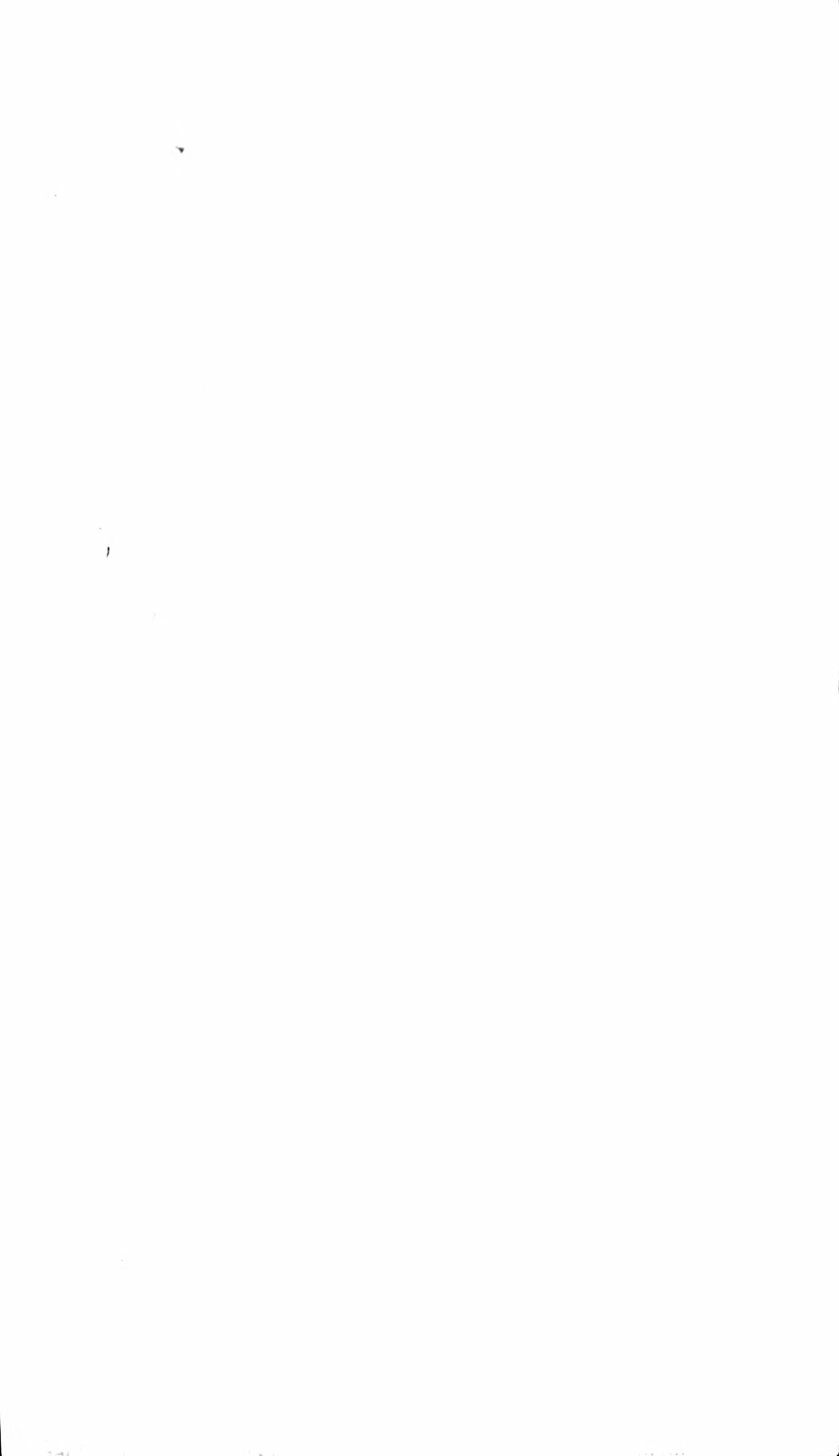$\mathcal{O}(\mathcal{O}(\mathcal{O}(\mathcal{O})))$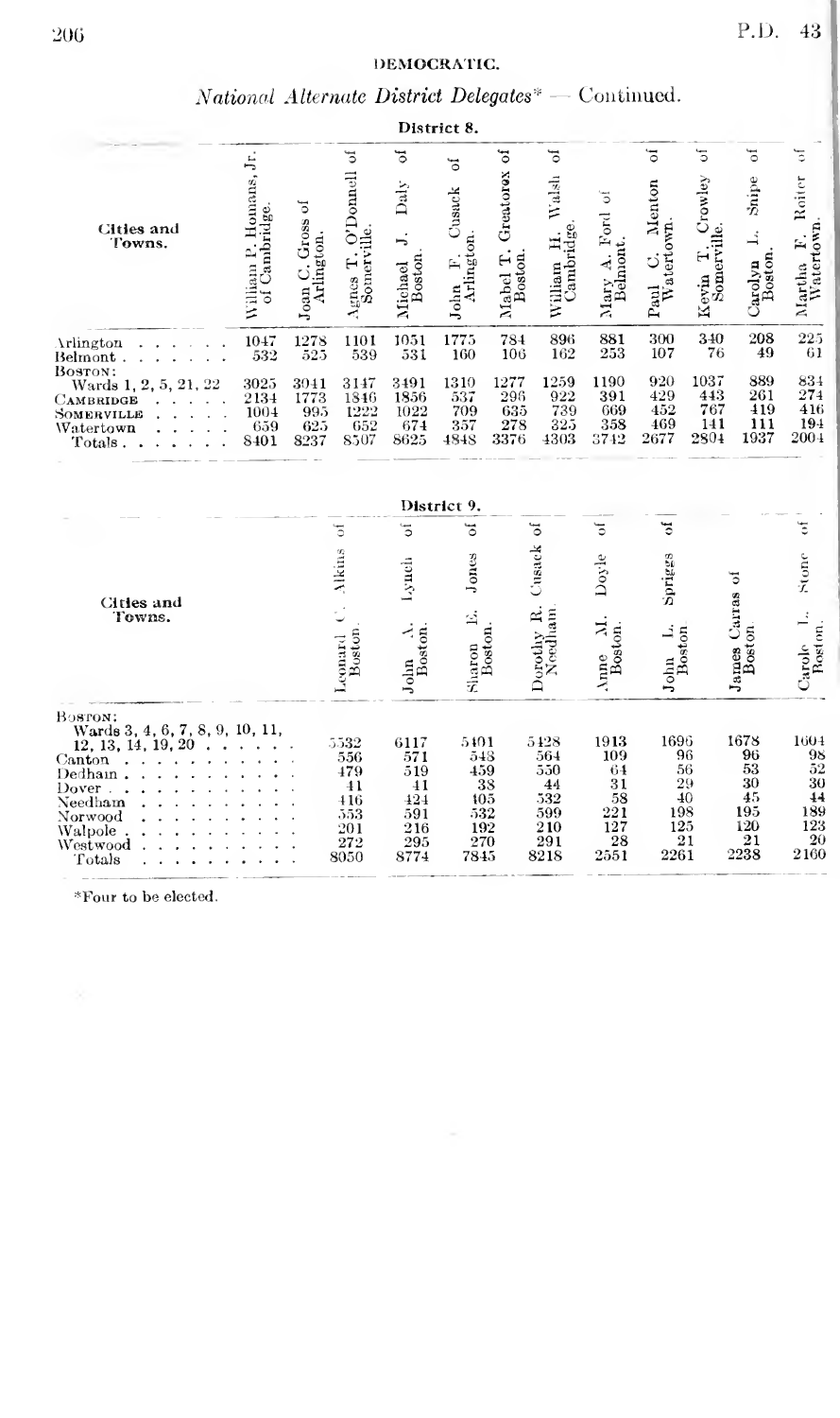# National Alternate District Delegates\* — Continued.

|                                                                                                                                                                                              |                                            |                                            |                                                              |                                                                     | District 8.                                                   |                                          |                                                                                  |                                                                         |                                    |                                           |                                                                               |                                                                        |
|----------------------------------------------------------------------------------------------------------------------------------------------------------------------------------------------|--------------------------------------------|--------------------------------------------|--------------------------------------------------------------|---------------------------------------------------------------------|---------------------------------------------------------------|------------------------------------------|----------------------------------------------------------------------------------|-------------------------------------------------------------------------|------------------------------------|-------------------------------------------|-------------------------------------------------------------------------------|------------------------------------------------------------------------|
| Cities and<br>Towns.                                                                                                                                                                         | William P. Homans, Jr.<br>of Cambridge.    | Joan C. Gross of<br>Arlington.             | $\Lambda_{\rm{gRes}}$ T, O'Donnell of Somerville.            | ัธ<br>Daly<br>J.<br>Boston.<br>Michael                              | ð<br>Cusack<br>Arlington.<br>John F.                          | ð<br>Greatorex<br>Mabel T.<br>Boston.    | ð<br>Walsh<br>Cambridge<br>E<br>William                                          | ō<br>Ford<br>Belmont.<br>Mary A.                                        | ð<br>Menton<br>Paul C. Me          | F<br>Crowley<br>Kevia T. C<br>Somerville. | ð<br>Snipe<br>L,<br>Carolyn 1<br>Boston.                                      | F<br>Roiter<br>Martha F. 1<br>Watertown.                               |
| <b><i><u>Irlington</u></i></b><br>Belmont                                                                                                                                                    | $\begin{array}{c} 1047 \\ 532 \end{array}$ | $\begin{array}{c} 1278 \\ 525 \end{array}$ | $\begin{array}{c} 1101 \\ 539 \end{array}$                   | $\begin{array}{c} 1051 \\ 531 \end{array}$                          | 1775<br>160                                                   | 784<br>106                               | 896<br>162                                                                       | $\begin{array}{c} 881 \\ 253 \end{array}$                               | 300<br>107                         | 340<br>76                                 | $\substack{208 \\ 49}$                                                        | $\begin{array}{c} 225 \\ 61 \end{array}$                               |
| BOSTON:<br>Wards 1, 2, 5, 21, 22<br>CAMBRIDGE<br>SOMERVILLE<br>Watertown<br>Totals.<br>$\ddot{\phantom{0}}$                                                                                  | 3025<br>2134<br>$\frac{1004}{659}$<br>8401 | 3041<br>1773<br>$\frac{995}{625}$<br>8237  | 3147<br>1846<br>$\frac{1222}{652}$<br>8507                   | 3491<br>1856<br>1022<br>674<br>8625                                 | 1310<br>537<br>709<br>357<br>484S                             | 1277<br>296<br>$\frac{635}{278}$<br>3376 | 1259<br>922<br>739<br>325<br>4303                                                | 1190<br>391<br>669<br>358<br>3742                                       | 920<br>429<br>452<br>469<br>2677   | 1037<br>443<br>767<br>141<br>2804         | 889<br>261<br>419<br>111<br>1937                                              | 834<br>274<br>416<br>194<br>2004                                       |
|                                                                                                                                                                                              |                                            |                                            |                                                              |                                                                     | District 9.                                                   |                                          |                                                                                  |                                                                         |                                    |                                           |                                                                               |                                                                        |
|                                                                                                                                                                                              |                                            |                                            | Ğ                                                            | 5                                                                   | 75                                                            |                                          | ัธ                                                                               | ā                                                                       | 75                                 |                                           |                                                                               | $\overline{\overline{z}}$                                              |
| Cities and<br>Towns.                                                                                                                                                                         |                                            |                                            | Alkins<br>$\cdot$<br>◡<br>Boston.<br>Leonard                 | Lynch<br>Ą<br>Boston.<br>John                                       | Jones<br>ź<br>Sharon                                          | Boston.                                  | Cusack<br>Dorothy R.<br>Noedham.                                                 | Doyle<br>Anne M.<br>Boston.                                             | Spriggs<br>Ľ,<br>John L.<br>Boston |                                           | James Carras of<br>Boston.                                                    | Stone<br>Ľ,<br>Boston.<br>Carole                                       |
| BOSTON:<br>Wards 3, 4, 6, 7, 8, 9, 10, 11,<br>12, 13, 14, 19, 20<br>$\cdot$<br>$\cdot$<br>Canton<br>Dedham<br>$\overline{a}$<br>Dover<br>Needham<br>Norwood<br>Walpole<br>Westwood<br>Totals |                                            |                                            | 5532<br>556<br>479<br>41<br>416<br>553<br>201<br>272<br>8050 | 6117<br>571<br>519<br>41<br>424<br>591<br>216<br>$\frac{295}{8774}$ | $\frac{5401}{548}$<br>459<br>532<br>$\frac{192}{270}$<br>7845 | 38<br>105                                | $\frac{5428}{564}$<br>550<br>44<br>532<br>$\frac{599}{210}$<br>$\frac{56}{8218}$ | 1913<br>109<br>64<br>31<br>58<br>$\frac{221}{127}$<br>$\frac{28}{2551}$ | 1696<br>198<br>125<br>2261         | 96<br>56<br>29<br>40<br>$\overline{21}$   | $\substack{1678 \\ -96}$<br>53<br>30<br>45<br>195<br>120<br>$\frac{21}{2238}$ | 1604<br>$\frac{98}{52}$<br>30<br>44<br>189<br>123<br>$\frac{20}{2160}$ |

\*Four to be elected.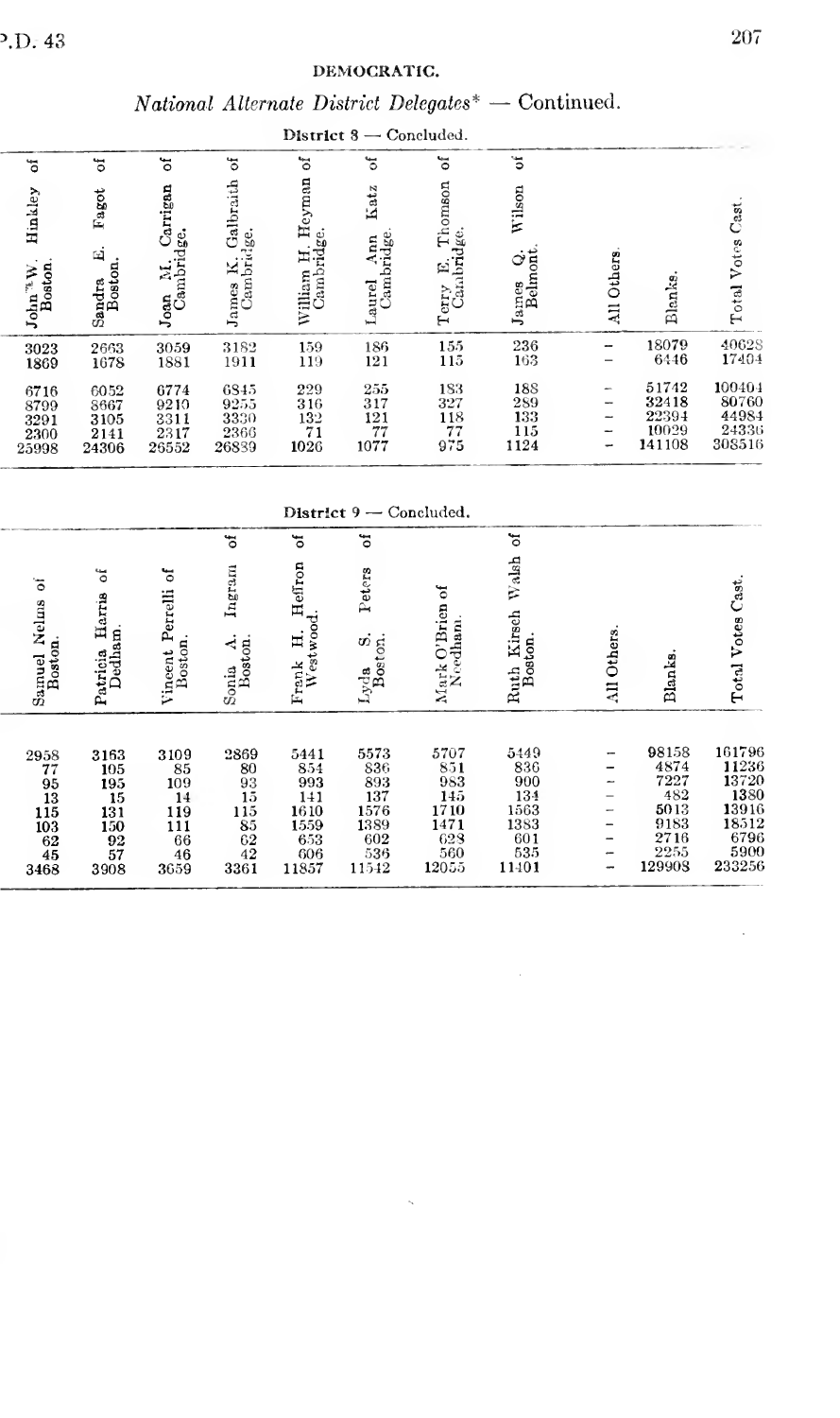| National Alternate District Delegates* $-$ Continued. |  |
|-------------------------------------------------------|--|
|-------------------------------------------------------|--|

|                                                                                                      |                                                                                           |                                                                             |                                                                                        |                                                                                                 | District 8 - Concluded.                                                                         |                                                                                         |                                                                                                 |                                                           |                                                                                |                                                                                                             |
|------------------------------------------------------------------------------------------------------|-------------------------------------------------------------------------------------------|-----------------------------------------------------------------------------|----------------------------------------------------------------------------------------|-------------------------------------------------------------------------------------------------|-------------------------------------------------------------------------------------------------|-----------------------------------------------------------------------------------------|-------------------------------------------------------------------------------------------------|-----------------------------------------------------------|--------------------------------------------------------------------------------|-------------------------------------------------------------------------------------------------------------|
| ័<br>Hinkley<br>$\mathbf{John}^{\mathcal{H}}\mathbf{W}.$<br>Boston.                                  | ัธ<br>Fagot<br>ΞÍ,<br>Boston.<br>Sandra                                                   | ৳<br>Carrigan<br>Joan M. Car<br>Cambridge.                                  | Galbraith of<br>Cambridge.<br>James K.                                                 | William H. Heyman of<br>Cambridge.                                                              | ัธ<br>Katz<br>aurel Ann<br>Cambridge.<br>Laurel                                                 | ð<br>$\operatorname*{Term}\nolimits_{\operatorname*{Canbridge}}$ . Thomson              | Ğ<br>Wilson<br>James Q.<br>Belmont.                                                             | All Others                                                | Blanks.                                                                        | Total Votes Cast.                                                                                           |
| $\frac{3023}{1869}$                                                                                  | $\begin{array}{c} 2663 \\ 1678 \end{array}$                                               | $\begin{array}{c} 3059 \\ 1881 \end{array}$                                 | $\begin{array}{c} 3182 \\ 1911 \end{array}$                                            | $\begin{array}{c} 159 \\ 119 \end{array}$                                                       | $\frac{186}{121}$                                                                               | $\frac{155}{115}$                                                                       | $\begin{array}{c} 236 \\ 163 \end{array}$                                                       | $\overline{\phantom{0}}$<br>$\overline{a}$                | 18079<br>6446                                                                  | 40628<br>17404                                                                                              |
| 6716<br>$\begin{array}{c} 8799 \\ 3291 \\ 2300 \\ 25998 \end{array}$                                 | 6052<br>8667<br>2141<br>24306                                                             | 6774<br>$\frac{9210}{3311}$<br>$\frac{2317}{25552}$                         | $\begin{array}{r} 6845 \\ 9255 \\ 3330 \\ 2366 \\ 26839 \end{array}$                   | $\begin{array}{c} 229 \\ 316 \\ 132 \\ 71 \\ 1026 \end{array}$                                  | $\substack{255 \\ 317}$<br>$\frac{121}{77}$<br>1077                                             | $\begin{array}{c} 183 \\ 327 \\ 118 \\ 77 \\ 975 \end{array}$                           | $\begin{array}{c} 188 \\ 289 \\ 133 \\ 115 \\ 1124 \end{array}$                                 | -<br>-<br>$\overline{a}$<br>$\overline{\phantom{0}}$<br>- | 51742<br>$32418$<br>$22394$<br>$10029$<br>$141108$                             | $\frac{100404}{80760}$<br>44984<br>24336<br>308516                                                          |
|                                                                                                      |                                                                                           |                                                                             |                                                                                        |                                                                                                 | District 9 - Concluded.                                                                         |                                                                                         |                                                                                                 |                                                           |                                                                                |                                                                                                             |
| Samuel Nelms of<br>Boston.                                                                           | ď<br>Patricia Harris<br>Dedham.                                                           | Vincent Perrelli of<br>Boston.                                              | ัธ<br>Ingram<br>4<br>Boston.<br>Sonia                                                  | ៵<br>Heffron<br>Frank H. 1                                                                      | ัธ<br>Peters<br>vi<br>Boston.<br>Lyda                                                           | Mark O'Brien of<br>Needham.                                                             | Ruth Kirsch Walsh of<br>Boston                                                                  | All Others.                                               | Blanks.                                                                        | Total Votes Cast.                                                                                           |
| $\frac{2958}{77}$<br>$\begin{array}{r} 64 \\ 95 \\ 13 \\ 115 \\ 103 \\ 62 \\ 45 \\ 3468 \end{array}$ | 3163<br>$\begin{array}{r} 105 \\ 195 \\ 15 \\ 131 \\ 150 \\ 92 \\ 57 \end{array}$<br>3908 | $3109$<br>$85$<br>$109$<br>$14$<br>$119$<br>$111$<br>$66$<br>$46$<br>$3659$ | $\begin{array}{r} 2869 \\ 80 \\ 93 \\ 15 \\ 115 \\ 85 \\ 62 \\ 42 \\ 3361 \end{array}$ | $\begin{array}{r} 5441 \\ 854 \\ 993 \\ 141 \\ 1610 \\ 1559 \\ 653 \\ 606 \\ 11857 \end{array}$ | $\begin{array}{r} 5573 \\ 836 \\ 893 \\ 137 \\ 1576 \\ 1389 \\ 602 \\ 536 \\ 11542 \end{array}$ | $\begin{array}{r} 5707 \\ 851 \\ 983 \\ 145 \\ 1710 \\ 628 \\ 560 \\ 12055 \end{array}$ | $\begin{array}{r} 5449 \\ 836 \\ 900 \\ 134 \\ 1563 \\ 1383 \\ 601 \\ 535 \\ 11401 \end{array}$ | -<br>-<br>-<br>-<br>÷<br>÷,<br>-<br>-<br>                 | 98158<br>98158<br>4874<br>7227<br>482<br>5013<br>513<br>2716<br>2255<br>129908 | $\begin{array}{r} 161796 \\ 11236 \\ 13720 \\ 1380 \\ 13916 \\ 18512 \\ 6796 \\ 5900 \\ 233256 \end{array}$ |

k,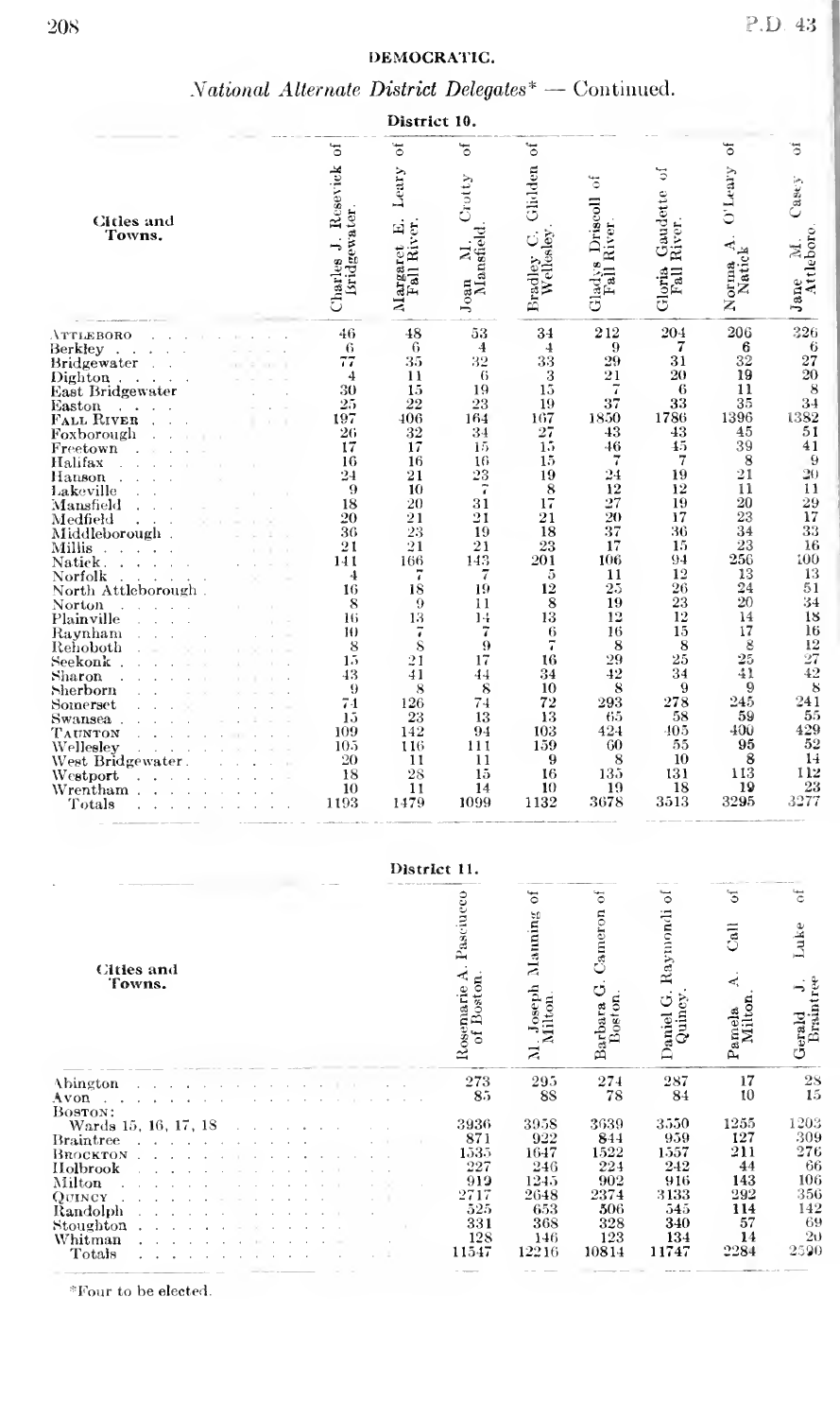$\sim$ 

|                                                 |                            | District 10.               |                     |                          |                                        |                                |                    |                         |
|-------------------------------------------------|----------------------------|----------------------------|---------------------|--------------------------|----------------------------------------|--------------------------------|--------------------|-------------------------|
|                                                 | ัธ<br>Resevick             | F<br>Leary                 | đ                   | ٦,<br>Gliden             | ัธ                                     | 5                              | ă<br>О' Leary      | 3<br>$\cos y$           |
| <b>Cities</b> and<br>Towns.                     | Isridgewater<br>Charles J. | Margaret E.<br>Fall River. | Crotty<br>Joan M. C | Bradley C.<br>Wellesley. | Driscoll<br>Gladys Drisc<br>Fall River | Gloria Gaudette<br>Fall River. | Norma A.<br>Natick | Attleboro<br>×.<br>Jane |
| ATTLEBORO                                       | 46                         | 48                         | 53                  | 34                       | 212                                    | 204                            | 206                | 326                     |
| Berkley<br>$\sim$                               | 6                          | 6                          | $\overline{4}$      | $\overline{1}$           | 9                                      | 7                              | 6                  | 6                       |
| Bridgewater<br>$\sim$                           | 77                         | 35                         | 32                  | 33                       | 29                                     | 31                             | 32                 | 27                      |
| Dighton                                         | 4                          | 11                         | 6                   | 3                        | $^{21}$                                | 20                             | 19                 | 20                      |
| East Bridgewater                                | 30                         | 15                         | 19                  | 15                       | 7                                      | 6                              | 11                 | 8                       |
| Easton<br>$\sim$ $\sim$                         | 25                         | 22                         | 23                  | 19                       | 37                                     | 33                             | 35                 | 34                      |
| <b>FALL RIVER</b>                               | 197                        | 406                        | 164                 | 167                      | 1850                                   | 1786                           | 1396               | 1382                    |
| Foxborough<br>J.                                | 26                         | 32                         | 34                  | 27                       | 43<br>46                               | 43<br>45                       | 45<br>39           | 51<br>41                |
| Freetown                                        | 17                         | 17<br>16                   | 15<br>16            | 1.5<br>15                | 7                                      | 7                              | 8                  | 9                       |
| Halifax                                         | 16<br>24                   | 21                         | 23                  | 19                       | 24                                     | 19                             | 21                 | 20                      |
| Hanson.                                         | 9                          | 10                         | 7                   | 8                        | 12                                     | 12                             | 11                 | $\overline{11}$         |
| Lakeville<br>Mansfield                          | 18                         | 20                         | 31                  | 17                       | 27                                     | 19                             | 20                 |                         |
|                                                 | 20                         | 21                         | 21                  | 21                       | 20                                     | 17                             | 23                 | $\frac{29}{17}$         |
| Medfield<br>Middleborough .                     | 36                         | 23                         | 19                  | 18                       | 37                                     | 36                             | 34                 | $\ddot{3}\dot{3}$       |
| Millis<br>$\mathcal{L}=\mathcal{L}=\mathcal{L}$ | 21                         | 21                         | 21                  | 23                       | 17                                     | 15                             | 23                 | ĭŏ                      |
| Natick.<br>$\ddot{\phantom{a}}$<br>í.<br>J.     | 141                        | 166                        | 143                 | 201                      | 106                                    | 94                             | 256                | 100                     |
| Norfolk<br>ï<br>Ŷ.                              | 4                          | 7                          | 7                   | 5                        | 11                                     | 12                             | 13                 | 13                      |
| Norfolk<br>North Attleborough .                 | 16                         | 18                         | 19                  | 12                       | 25                                     | 26                             | 24                 | 51                      |
| Norton                                          | 8                          | $\overline{9}$             | 11                  | 8                        | 19                                     | 23                             | 20                 | 34                      |
| Plainville<br>J.<br>J.                          | 16                         | 13                         | 14                  | 13                       | 12                                     | 12                             | 14                 | 18                      |
| Raynham<br>÷.                                   | ю                          | 7                          | 7                   | 6                        | 16                                     | 15                             | 17                 | 16                      |
| Rehoboth<br>÷.<br>$\mathbf{y} = \mathbf{y}$     | 8                          | s                          | 9                   | 7                        | 8                                      | 8                              | 8                  | $\frac{12}{27}$         |
| Seekonk .<br>÷.                                 | 15                         | 21                         | 17                  | 16                       | 29                                     | 25                             | 25                 |                         |
| Sharon<br>$\mathcal{L}$                         | 43                         | 41                         | 44                  | 34                       | 42                                     | 34                             | 41                 | $\overline{42}$         |
| Sherborn                                        | 9                          | 8                          | 8                   | 10                       | 8                                      | 9                              | 9                  | $\frac{8}{241}$         |
| Somerset                                        | 74                         | 126                        | 74                  | 72                       | 293                                    | 278                            | 245                |                         |
| Swansea.<br>÷                                   | 15                         | 23                         | 13                  | 13                       | 65                                     | 58                             | 59                 | 55<br>429               |
| TAUNTON<br>and a state of                       | 109                        | 142                        | 94                  | 103                      | 424                                    | 405                            | 400                |                         |
| Wellesley<br>$\alpha = \alpha - \alpha$         | 10.5                       | 116                        | 111                 | 159                      | 60                                     | 55                             | 95                 | $\frac{59}{14}$         |
| West Bridgewater.                               | 20                         | 11                         | 11                  | 9                        | 8                                      | 10                             | 8<br>113           | 112                     |
| Westport                                        | 18                         | 28                         | 15                  | 16                       | 135                                    | 131<br>18                      | 19                 |                         |
| Wrentham.<br>and a state                        | 10                         | 11                         | 14                  | 10                       | 19<br>3678                             | 3513                           | 3295               | $\frac{23}{3277}$       |
| Totals                                          | 1193                       | 1479                       | 1099                | 1132                     |                                        |                                |                    |                         |

| District 11. |  |
|--------------|--|
|              |  |

| <b>Cities</b> and<br>Towns.                                                                                                                                                                                                                |                                                                                                                                                                                                                                                                                                                                   | Pasciucco<br>Boston<br>Rosemarie                                        | đ<br>Manning<br>doseph<br>.<br>Milton.<br>z                              | ัธ<br>Cameron<br>ಲ<br>Bost on<br>Barbara                                | 7<br>Raymondi<br>Quincy<br>೮<br>Daniel                                  | 2<br>Gall<br>amela                                                | ake<br>Gerald                                                     |
|--------------------------------------------------------------------------------------------------------------------------------------------------------------------------------------------------------------------------------------------|-----------------------------------------------------------------------------------------------------------------------------------------------------------------------------------------------------------------------------------------------------------------------------------------------------------------------------------|-------------------------------------------------------------------------|--------------------------------------------------------------------------|-------------------------------------------------------------------------|-------------------------------------------------------------------------|-------------------------------------------------------------------|-------------------------------------------------------------------|
| Abington<br>$A$ von $\ldots$ $\ldots$                                                                                                                                                                                                      | the company of the company of the<br>and the company of the company of                                                                                                                                                                                                                                                            | 273<br>85<br>and the company of the company                             | 295<br><b>8S</b>                                                         | 274<br>78                                                               | 287<br>84                                                               | 17<br>10                                                          | 28<br>15                                                          |
| BOSTON:<br>Wards 15, 16, 17, 18 $\ldots$ $\ldots$ $\ldots$<br><b>Braintree</b><br><b>BROCKTON</b><br>Holbrook<br>Milton<br>contractor and all the<br>$Q$ UINCY<br>Randolph<br>Stoughton<br>Whitman<br>Totals<br>and a straightful state of | and a straightful and a straight and a straight<br>and a series of the series of the series of the<br>and the property of the state of the state<br>the company's company's company's<br>The Controller<br>and a straight and a straight the<br>and and an analysis and an article of the con-<br><b>Contract Contract Street</b> | 3936<br>871<br>1535<br>227<br>919<br>2717<br>525<br>331<br>128<br>11547 | 3958<br>922<br>1647<br>246<br>1245<br>2648<br>653<br>368<br>146<br>12216 | 3639<br>844<br>1522<br>224<br>902<br>2374<br>506<br>328<br>123<br>10814 | 3550<br>959<br>1557<br>242<br>916<br>3133<br>545<br>340<br>134<br>11747 | 1255<br>127<br>211<br>44<br>143<br>292<br>114<br>57<br>14<br>2284 | 1203<br>309<br>276<br>66<br>106<br>356<br>142<br>69<br>20<br>2590 |
|                                                                                                                                                                                                                                            |                                                                                                                                                                                                                                                                                                                                   |                                                                         |                                                                          |                                                                         |                                                                         |                                                                   |                                                                   |

\*Four to be elected.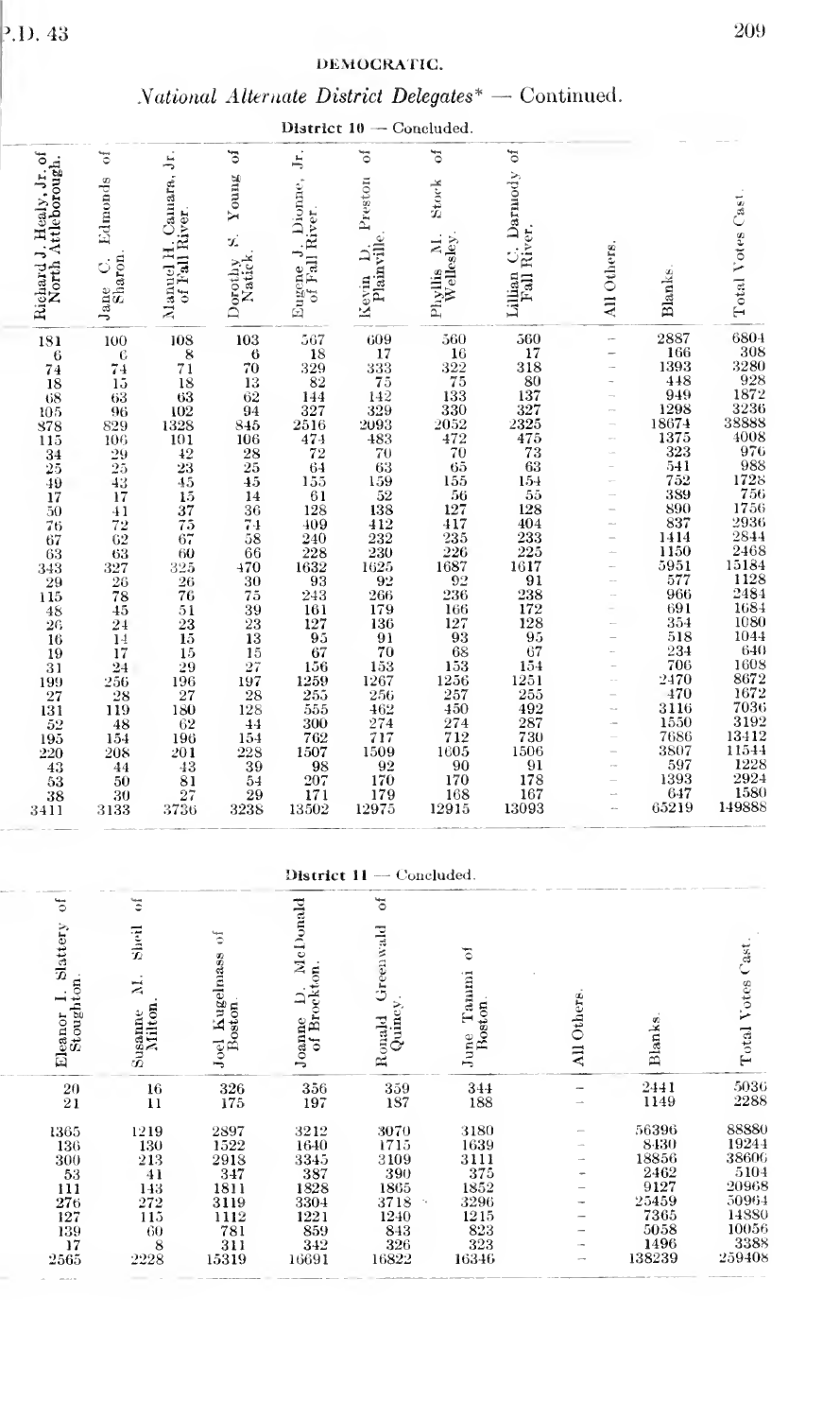# National Alternate District Delegates\* — Continued.

| District 10 - Concluded.                                                                                                                                                                                                    |                                                                                                                                                                                                                                                                                        |                                                                                                                     |                                                                                                                                                                                                                                                                     |                                                                                                                                                                                                                                                                                                                                                                                                                                                                                                 |                                                                                                                                                                                                                                                                                |                                                                                                                                                                                                                                                                                            |                                                                                                                                                                                                                          |            |                                                                                                                                                                                                                                                                              |                                                                                                                                                                                                                                                                                                                                       |
|-----------------------------------------------------------------------------------------------------------------------------------------------------------------------------------------------------------------------------|----------------------------------------------------------------------------------------------------------------------------------------------------------------------------------------------------------------------------------------------------------------------------------------|---------------------------------------------------------------------------------------------------------------------|---------------------------------------------------------------------------------------------------------------------------------------------------------------------------------------------------------------------------------------------------------------------|-------------------------------------------------------------------------------------------------------------------------------------------------------------------------------------------------------------------------------------------------------------------------------------------------------------------------------------------------------------------------------------------------------------------------------------------------------------------------------------------------|--------------------------------------------------------------------------------------------------------------------------------------------------------------------------------------------------------------------------------------------------------------------------------|--------------------------------------------------------------------------------------------------------------------------------------------------------------------------------------------------------------------------------------------------------------------------------------------|--------------------------------------------------------------------------------------------------------------------------------------------------------------------------------------------------------------------------|------------|------------------------------------------------------------------------------------------------------------------------------------------------------------------------------------------------------------------------------------------------------------------------------|---------------------------------------------------------------------------------------------------------------------------------------------------------------------------------------------------------------------------------------------------------------------------------------------------------------------------------------|
| ัธ<br>Richard J. Healy, Jr. o<br>North Attleborough.                                                                                                                                                                        | ā<br>Edmonds<br>Sharon<br>Jane C.                                                                                                                                                                                                                                                      | ÷,<br>Саната,<br>of Fall River<br>Manuel H                                                                          | ัธ<br>Young<br>ú,<br>Natick<br>Dorothy                                                                                                                                                                                                                              | Jr.<br>Dionne,<br>of Fall River<br>∽<br>Eugene <sub>.</sub>                                                                                                                                                                                                                                                                                                                                                                                                                                     | ď<br>Preston<br>Plainville<br>$\mathbf{a}$<br>Kevin                                                                                                                                                                                                                            | ð<br>Stork<br>ä.<br>Wellesley<br>Phyllis                                                                                                                                                                                                                                                   | ð<br>C. Darmody<br>Fall River.<br>Lillian                                                                                                                                                                                | All Others | Blanks                                                                                                                                                                                                                                                                       | Total Votes Cast                                                                                                                                                                                                                                                                                                                      |
| 181<br>$\bf{6}$<br>74<br>18<br>68<br>105<br>$\frac{878}{115}$<br>34<br>$\overline{25}$<br>49<br>17<br>50<br>76<br>67<br>63<br>343<br>29<br>115<br>48<br>26<br>16<br>19<br>31<br>199<br>27<br>131<br>$\frac{52}{195}$<br>220 | 100<br>Ġ<br>$^{74}_{15}$<br>63<br>96<br>$\frac{829}{106}$<br>$\frac{29}{25}$<br>$\frac{43}{17}$<br>$\begin{array}{l} 41 \\ 72 \\ 62 \end{array}$<br>$\frac{63}{327}$<br>$\frac{26}{78}$<br>24<br>14<br>17<br>$\begin{array}{c} 24 \\ 256 \\ 28 \\ 119 \end{array}$<br>48<br>154<br>208 | 10881832814233575705525815<br>$\begin{array}{c} 29 \\ 196 \\ 27 \\ 180 \\ 62 \\ 196 \\ 201 \\ 43 \\ 81 \end{array}$ | 103<br>$\mathbf 6$<br>70<br>13<br>62<br>94<br>845<br>$\frac{106}{28}$ $\frac{28}{25}$<br>45<br>14<br>$\overline{36}$<br>74<br>58<br>66<br>470<br>30<br>75<br>$\begin{array}{c} 39 \\ 23 \end{array}$<br>13<br>15<br>$^{27}$<br>197<br>28<br>128<br>$\frac{44}{154}$ | $\begin{array}{r} 567 \\ 18 \\ 329 \\ 82 \\ 144 \end{array}$<br>$\frac{327}{2516}$<br>474<br>$\overline{72}$<br>$\begin{array}{r} \n \stackrel{12}{\phantom{0}0} \stackrel{12}{\phantom{0}0} \stackrel{15}{\phantom{0}0} \stackrel{1}{\phantom{0}0} \stackrel{15}{\phantom{0}0} \stackrel{1}{\phantom{0}0} \stackrel{12}{\phantom{0}0} \end{array}$<br>409<br>240<br>228<br>$\frac{1632}{93}$<br>$\frac{243}{161}$<br>95<br>67<br>$\frac{156}{1259}$<br>$\frac{255}{555}$<br>300<br>762<br>1507 | 609<br>17<br>$3\frac{3}{7}3$<br>$\frac{142}{329}$<br>$\frac{329}{483}$<br>$\frac{483}{70}$<br>$\begin{array}{c} 63 \\ 159 \\ 52 \\ 138 \\ 412 \\ 232 \\ 1625 \\ 230 \\ 1625 \\ 266 \\ 179 \\ 136 \\ 1267 \\ 153 \\ 267 \\ 256 \end{array}$<br>$\frac{462}{274}$<br>717<br>1509 | 560<br>$\frac{16}{322}$<br>133<br>330<br>$\frac{2052}{472}$<br>$\begin{array}{r} 70 \\ 65 \\ 155 \end{array}$<br>$\frac{56}{127}$<br>$\frac{417}{235}$<br>$\frac{226}{1687}$<br>236<br>$\frac{166}{127}$<br>93<br>$\frac{68}{153}$<br>$\frac{1256}{257}$<br>450<br>274<br>$\frac{7}{1605}$ | 560<br>17<br>318<br>80<br>137<br>$\frac{327}{2325}$<br>475<br>73<br>63<br>154<br>55<br>128<br>404<br>233<br>$\frac{225}{1617}$<br>91<br>238<br>172<br>128<br>95<br>67<br>154<br>1251<br>255<br>492<br>287<br>730<br>1506 | ÷<br>J.    | 2887<br>166<br>1393<br>448<br>949<br>1298<br>18674<br>1375<br>323<br>541<br>$\frac{752}{389}$<br>890<br>$\frac{837}{1414}$<br>$\frac{150}{150}$<br>5951<br>577<br>966<br>691<br>354<br>$\frac{518}{234}$<br>$\frac{706}{2470}$<br>$\frac{3116}{1550}$<br>7686<br>3807<br>597 | $\begin{array}{r} 6804 \\ 308 \\ 3280 \\ 928 \\ 1872 \\ 3236 \\ 3888 \\ 4008 \\ 976 \\ 988 \\ 1728 \\ 756 \\ 1756 \end{array}$<br>$\begin{array}{c} 2936 \\ 2934 \\ 2544 \\ 3128 \\ 468 \\ 1128 \\ 2484 \\ 1084 \\ 1084 \\ 1084 \\ 608 \\ 867 \\ 202 \\ 1154 \\ 1228 \\ 2924 \\ 1314 \\ 1228 \\ 2924 \\ 1580 \\ 14988 \\ \end{array}$ |
| 43<br>53<br>38<br>3411                                                                                                                                                                                                      | 44<br>50<br>30<br>3133                                                                                                                                                                                                                                                                 | $\frac{27}{3736}$                                                                                                   | $\frac{228}{39}$<br>$\frac{29}{3238}$                                                                                                                                                                                                                               | $\frac{98}{207}$<br>13502                                                                                                                                                                                                                                                                                                                                                                                                                                                                       | $\frac{92}{170}$<br>179<br>12975                                                                                                                                                                                                                                               | 90<br>170<br>168<br>12915                                                                                                                                                                                                                                                                  | 91<br>$\frac{178}{167}$<br>13093                                                                                                                                                                                         | $\sim$     | 1393<br>$\frac{647}{65219}$                                                                                                                                                                                                                                                  |                                                                                                                                                                                                                                                                                                                                       |

#### District  $11$  - Concluded. ÷.

| 5<br>Slattery<br>Stoughton<br>Eleanor | 5<br>Sheil<br>ž<br>Susanne<br>Milton. | 75<br>Kugelmass<br>Boston.<br>Joel | McDonald<br>ā<br>of Brockt<br>Joanne | ă<br>Greenwald<br>Quincy<br>Ronald | Έ<br>Taumi<br>June Tan<br>Boston | Others<br>$\overline{a}$ | Blanks | $^{\rm asf}$<br>Votes<br>Total |
|---------------------------------------|---------------------------------------|------------------------------------|--------------------------------------|------------------------------------|----------------------------------|--------------------------|--------|--------------------------------|
| 20                                    | 16                                    | 326                                | 356                                  | 359                                | 344                              |                          | 2441   | 5036                           |
| $^{21}$                               | 11                                    | 175                                | 197                                  | 187                                | 188                              |                          | 1149   | 2288                           |
| 1365                                  | 1219                                  | 2897                               | 3212                                 | 3070                               | 3180                             |                          | 56396  | 88880                          |
| 136                                   | 130                                   | 1522                               | 1640                                 | 1715                               | 1639                             |                          | 8430   | 19244                          |
| 300                                   | 213                                   | 2918                               | 3345                                 | 3109                               | 3111                             |                          | 18856  | 38606<br>5104                  |
| 53                                    | 41                                    | 347                                | 387                                  | 390                                | 375                              |                          | 2462   |                                |
| 111                                   | 143                                   | 1811                               | 1828                                 | 1865                               | 1852                             |                          | 9127   | 20968                          |
| 276                                   | 272                                   | 3119                               | 3304                                 | 3718                               | 3296                             |                          | 25459  | 50964                          |
| 127                                   | 115                                   | 1112                               | 1221                                 | 1240                               | 1215                             |                          | 7365   | 14880                          |
| 139                                   | 60                                    | 781                                | 859                                  | 843                                | 823                              |                          | 5058   | 10056                          |
| 17                                    | 8                                     | 311                                | 342                                  | 326                                | 323                              |                          | 1496   | 3388                           |
| 2565                                  | 2228                                  | 15319                              | 16691                                | 16822                              | 16346                            |                          | 138239 | 259408                         |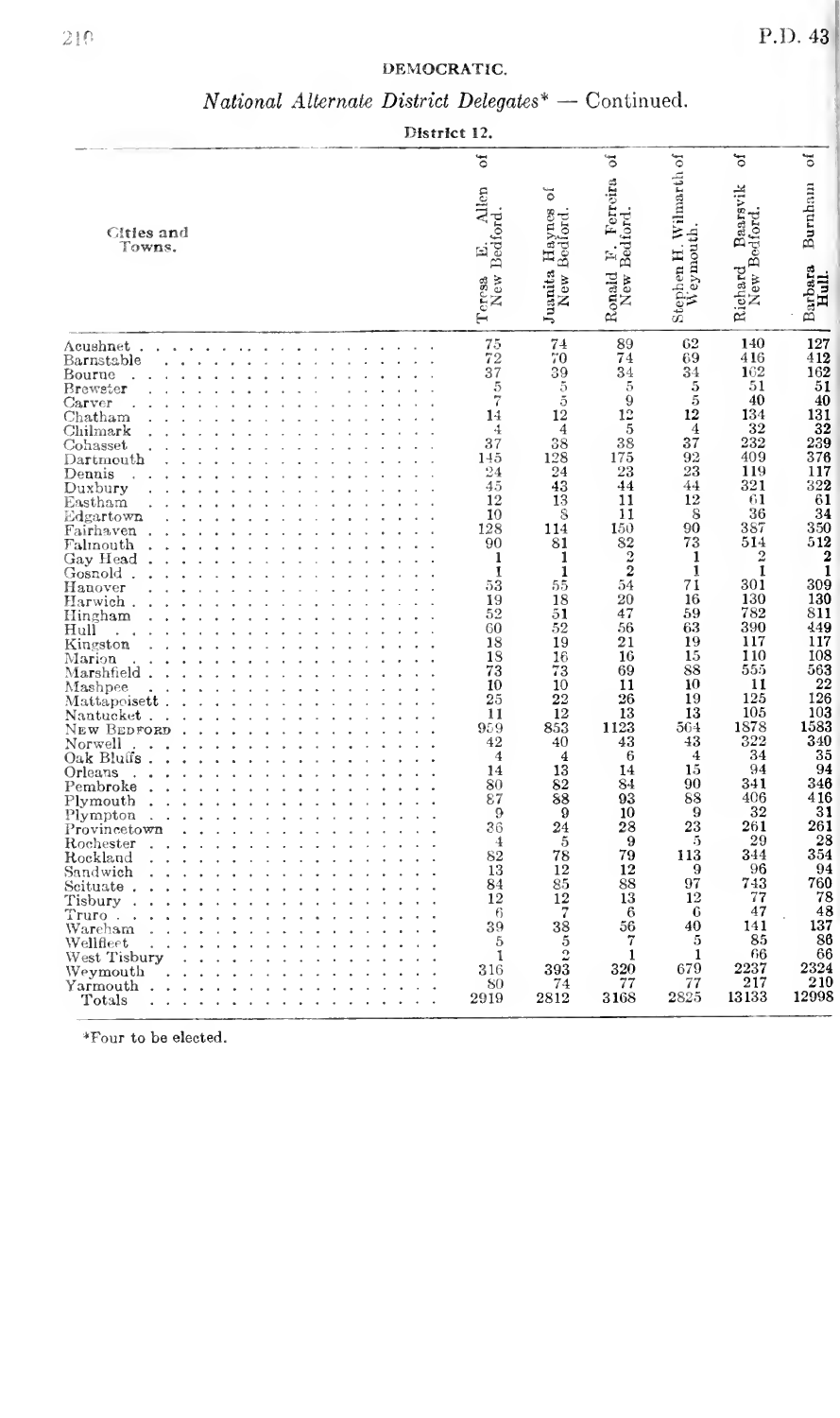# National Alternate District Delegates\*  $-$  Continued.

## District 12.

|                                                         | ð                 |                                                  | ัธ                                          |                                     | रु                             | ัธ                                                                          |
|---------------------------------------------------------|-------------------|--------------------------------------------------|---------------------------------------------|-------------------------------------|--------------------------------|-----------------------------------------------------------------------------|
|                                                         |                   |                                                  |                                             | Stephen H. Wilmarth of<br>Weymouth. |                                |                                                                             |
|                                                         | Allen             | ŏ                                                | Ferreira                                    |                                     | Baarsvik                       | Burnham                                                                     |
|                                                         |                   |                                                  |                                             |                                     |                                |                                                                             |
| Cities and<br>Towns.                                    |                   |                                                  |                                             |                                     |                                |                                                                             |
|                                                         | Bedford<br>国      | . Haynes<br>Bedford.                             | Ė,                                          |                                     |                                |                                                                             |
|                                                         |                   |                                                  |                                             |                                     |                                |                                                                             |
|                                                         |                   | New .                                            | New Bedford<br>Ronald                       |                                     | Richard Baars<br>New Bedford.  | Barbara<br>Hull.                                                            |
|                                                         | Teresa<br>New     | Juanita                                          |                                             |                                     |                                |                                                                             |
| Acushnet                                                | 75                | 74                                               | 89                                          | 62                                  | 140                            | 127                                                                         |
| Barnstable                                              | $\overline{72}$   | $70^{\circ}$                                     | 74                                          | 69                                  | 416                            | 412                                                                         |
| Bourne                                                  | 37                | 39                                               | 34<br>5                                     | 34                                  | 162<br>51                      | 162<br>51                                                                   |
| Brewster                                                | 5<br>ř            | $\frac{5}{5}$                                    | 9                                           | $\frac{5}{5}$                       | 40                             | 40                                                                          |
| Carver<br>Chatham                                       | 14                | 12                                               | 12                                          | 12                                  | 134                            | 131                                                                         |
| Chilmark                                                | 4                 | $\overline{4}$                                   | $\overline{5}$                              | $\bf{4}$                            | 32                             |                                                                             |
| Cohasset                                                | 37                | $3\hat{8}$                                       | 38                                          | $3\bar{7}$                          | 232                            | $\frac{32}{239}$                                                            |
| $\mathrm{Dartmouth}$                                    | 145               | 128                                              | 175                                         | 92                                  | 409                            | 376                                                                         |
| Dennis                                                  | $^{24}$           | $^{24}$                                          | 23                                          | 23                                  | 119                            | $\frac{117}{322}$<br>61                                                     |
| Duxbury                                                 | 45                | 43                                               | 44                                          | 44                                  | 321                            |                                                                             |
| Eastham                                                 | 12                | 13                                               | 11                                          | 12                                  | 61                             |                                                                             |
| Edgartown                                               | 10                | 8                                                | 11                                          | s                                   | 36                             | $\overline{34}$                                                             |
| Fairhaven                                               | 128               | 114                                              | 150                                         | 90                                  | 387                            | 350                                                                         |
| $_{\rm Falmouth}$                                       | 90                | 81                                               | $\begin{array}{c} 82 \\ 2 \\ 2 \end{array}$ | 73                                  | 514                            | 512                                                                         |
| $\rm{Gav}$ Head                                         | $\mathbf{1}$<br>t | 1<br>1                                           |                                             | $\mathbf{1}$<br>1                   | $\overline{c}$<br>$\mathbf{I}$ | $\begin{array}{r} 2 \\ 1 \\ 309 \end{array}$                                |
| Gosnold                                                 | 53                | 55                                               | 54                                          | 71                                  | 301                            |                                                                             |
| Hanover<br>Harwich                                      | 19                | 18                                               | 20                                          | 16                                  | 130                            | 130                                                                         |
| Hingham                                                 | 52                | 51                                               | 47                                          | 59                                  | 782                            | 811                                                                         |
| Hull                                                    | 60                | 52                                               | 56                                          | 63                                  | 390                            | 449                                                                         |
| Kingston                                                | 18                | 19                                               | $^{21}$                                     | 19                                  | 117                            | 117                                                                         |
| Marion                                                  | 18                | 16                                               | 16                                          | 15                                  | 110                            | 108                                                                         |
| Marshfield                                              | 73                | 73                                               | 69                                          | 88                                  | 555                            | 563                                                                         |
| Mashpee                                                 | 10                | 10                                               | 11                                          | 10                                  | 11                             | 22                                                                          |
| Mattapoisett                                            | 25                | $22^{12}$                                        | 26                                          | 19                                  | 125                            | $\frac{126}{103}$                                                           |
| Nantucket                                               | 11                | 12                                               | 13                                          | 13                                  | 105                            |                                                                             |
| NEW BEDFORD                                             | 959               | 853                                              | 1123                                        | 564                                 | 1878                           | 1583<br>340                                                                 |
| Norwell                                                 | 42                | 40                                               | 43                                          | 43                                  | 322<br>34                      | 35                                                                          |
| Oak Bluffs<br>l.<br>$\ddot{\phantom{0}}$<br>J.          | $\ddot{4}$<br>14  | $\overline{4}$<br>13                             | 6<br>14                                     | $\overline{4}$<br>15                | 94                             | 94                                                                          |
| Orleans                                                 | 80                | $\bar{s}\bar{2}$                                 | 84                                          | 90                                  | 341                            | 346                                                                         |
| Pembroke<br>Plymouth                                    | 87                | $\overline{\overline{\overline{8}}\overline{8}}$ | 93                                          | 88                                  | 406                            | 416                                                                         |
| Plympton                                                | 9                 | ğ                                                | 10                                          | 9                                   | 32                             | 31                                                                          |
| Provincetown                                            | 36                | 24                                               | 28                                          | 23                                  | 261                            | 261                                                                         |
| Rochester                                               | $\overline{4}$    |                                                  | 9                                           | 5                                   | 29                             | $\frac{28}{354}$                                                            |
| Rockland                                                | 82                | $\frac{5}{78}$                                   | 79                                          | 113                                 | 344                            |                                                                             |
| Sandwich                                                | 13                |                                                  | 12                                          | 9                                   | 96                             | 94                                                                          |
| Scituate                                                | 84                | $\overline{85}$                                  | 88                                          | 97                                  | 743                            | 760                                                                         |
| Tisbury                                                 | 12                | $\overline{1}2$                                  | 13                                          | 12                                  | 77                             | $\frac{78}{78}$<br>$\frac{48}{137}$<br>$\frac{86}{66}$<br>$\frac{66}{2324}$ |
| Truro                                                   | 6                 | 7                                                | 6                                           | 6                                   | 47                             |                                                                             |
| Wareham                                                 | 39                | 38                                               | 56                                          | 40                                  | 141                            |                                                                             |
| Wellfleet                                               | 5                 |                                                  | 7                                           | 5                                   | 85                             |                                                                             |
| West Tisbury<br>L.                                      | 1                 | 393                                              | $\mathbf{1}$                                | 1                                   | 66<br>2237                     |                                                                             |
| Weymouth                                                | 316               | 74                                               | $\frac{320}{77}$                            | 679<br>77                           | 217                            | 210                                                                         |
| Yarmouth<br>i.<br>l.<br>$\ddot{\phantom{0}}$<br>ł.<br>ï | 80<br>2919        | $^{2812}$                                        | 3168                                        | 2825                                | 13133                          | 12998                                                                       |
| Totals                                                  |                   |                                                  |                                             |                                     |                                |                                                                             |

 $\mathbf{^{\ast} Four}$  to be elected.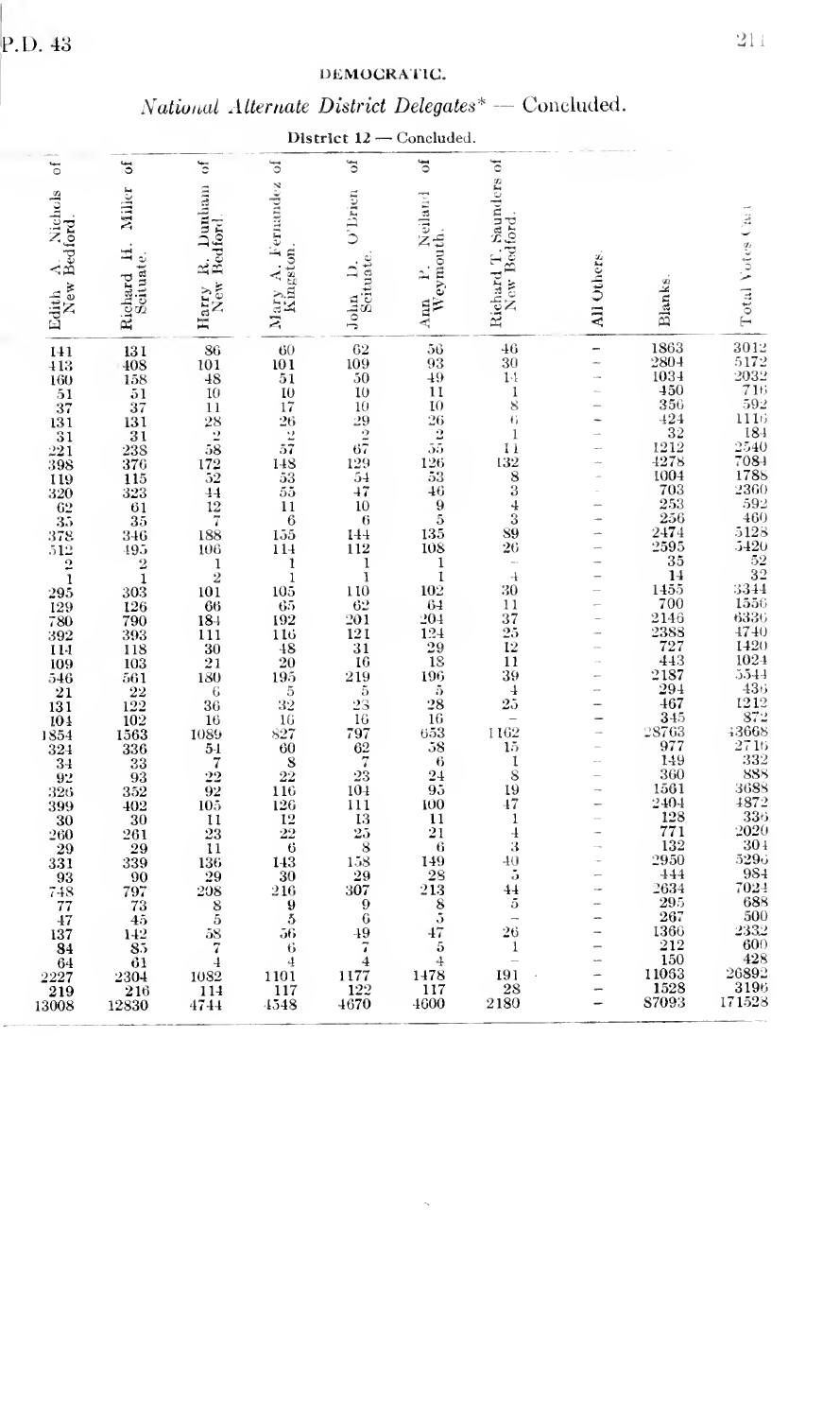National Alternate District Delegates\* - Concluded.

|                                                                                                                                                                                                                            |                                                                                                                                                                                                                                                                                                                                                                                                                      |                                                                                                                                                                                                                                                                                                                                                                          |                                                                                                                                                                                                                                                                       | District 12                                                                                                                                                                                                                                                                                             | Concluded.                                                                                                                                                                                                                                                                                                                                                                 |                                                                                                                                                                                                                                                                                                                                                                                                                                                                                  |                                                 |                                                                                                                                                                                                                                                                                                                                                                                                                 |                  |
|----------------------------------------------------------------------------------------------------------------------------------------------------------------------------------------------------------------------------|----------------------------------------------------------------------------------------------------------------------------------------------------------------------------------------------------------------------------------------------------------------------------------------------------------------------------------------------------------------------------------------------------------------------|--------------------------------------------------------------------------------------------------------------------------------------------------------------------------------------------------------------------------------------------------------------------------------------------------------------------------------------------------------------------------|-----------------------------------------------------------------------------------------------------------------------------------------------------------------------------------------------------------------------------------------------------------------------|---------------------------------------------------------------------------------------------------------------------------------------------------------------------------------------------------------------------------------------------------------------------------------------------------------|----------------------------------------------------------------------------------------------------------------------------------------------------------------------------------------------------------------------------------------------------------------------------------------------------------------------------------------------------------------------------|----------------------------------------------------------------------------------------------------------------------------------------------------------------------------------------------------------------------------------------------------------------------------------------------------------------------------------------------------------------------------------------------------------------------------------------------------------------------------------|-------------------------------------------------|-----------------------------------------------------------------------------------------------------------------------------------------------------------------------------------------------------------------------------------------------------------------------------------------------------------------------------------------------------------------------------------------------------------------|------------------|
| ð                                                                                                                                                                                                                          | 5                                                                                                                                                                                                                                                                                                                                                                                                                    |                                                                                                                                                                                                                                                                                                                                                                          |                                                                                                                                                                                                                                                                       | ð                                                                                                                                                                                                                                                                                                       | ð                                                                                                                                                                                                                                                                                                                                                                          |                                                                                                                                                                                                                                                                                                                                                                                                                                                                                  |                                                 |                                                                                                                                                                                                                                                                                                                                                                                                                 |                  |
| Edith A. Nichols<br>New Bedford.                                                                                                                                                                                           | Millier<br>Richard H.<br>Scituate.                                                                                                                                                                                                                                                                                                                                                                                   | Dunham of<br>Harry R. Dun<br>New Bedford                                                                                                                                                                                                                                                                                                                                 | Mary A. Fernandez of<br>Kingston.                                                                                                                                                                                                                                     | O'Erien<br>Scituate.<br>John D.                                                                                                                                                                                                                                                                         | Neiland<br>Weymouth<br>r.<br>Ann                                                                                                                                                                                                                                                                                                                                           | Richard T. Saunders of<br>New Bedford.                                                                                                                                                                                                                                                                                                                                                                                                                                           | All Others                                      | Blanks.                                                                                                                                                                                                                                                                                                                                                                                                         | Total Votes Cast |
| $\begin{array}{c} 141 \\ 413 \end{array}$<br>$\begin{array}{r} 160 \\ 51 \\ 371 \\ 131 \\ 221 \\ 398 \\ 320 \\ 337 \\ 378 \\ 12 \\ 21 \\ 132 \\ 233 \\ 243 \\ 292 \\ 293 \\ 294 \\ 109 \\ 540 \\ 21 \\ 131 \\ \end{array}$ | $\begin{array}{r} 13\,1 \\ 408 \\ 158 \\ 51 \\ 37 \\ 131 \\ 238 \\ 376 \\ 115 \\ 323 \\ 61 \end{array}$<br>35<br>$\frac{346}{195}$<br>$\frac{2}{2}$<br>$\frac{1}{303}$<br>$\begin{array}{c} 126 \\ 790 \\ 393 \\ 118 \\ 103 \\ 561 \\ 22 \\ 122 \\ 122 \\ 1363 \\ 336 \\ 338 \\ 93 \\ \end{array}$<br>$\begin{array}{c} 3\,52 \\ 4\,02 \\ 3\,0 \\ 2\,6 \\ 1 \\ 2\,9 \\ 3\,3 \\ 9 \\ 0 \\ 7\,9 \\ 7 \\ 3 \end{array}$ | $\begin{array}{c} 86 \\ 101 \\ 48 \\ 10 \\ 11 \end{array}$<br>$\begin{array}{r} 28.28 \\ 28.23 \\ 37.22 \\ 17.23 \\ 14.2 \\ 7.8 \\ 100 \\ 101 \\ 21 \\ 66 \\ 184 \\ 111 \\ 301 \\ 218 \\ 66 \\ 169 \\ 51 \\ 7 \end{array}$<br>$\begin{array}{r} 22 \\ 92 \\ 105 \\ 11 \\ 23 \\ 136 \\ 29 \\ 8 \\ 5 \\ 8 \\ 5 \\ 8 \\ 5 \\ 7 \\ 4 \\ 11 \\ 11 \\ 47 \\ 44 \\ \end{array}$ | $\begin{array}{c} 60 \\ 101 \\ 51 \\ 10 \\ 17 \\ \end{array}$<br>$\begin{array}{r} 26\ 27835116\\ 551165111\\ 10565216\\ 205532\\ 19533\\ 2167\\ 0 \end{array}$<br>$\begin{array}{r} -8 \\ 22 \\ 116 \\ 126 \\ 22 \\ 6 \\ 143 \\ 30 \\ 16 \\ 9 \\ 5 \\ 6 \end{array}$ | $\begin{array}{c} 62 \\ 109 \\ 50 \\ 10 \end{array}$<br>10<br>$\frac{29}{67}$<br>$\frac{129}{54}$<br>10<br>$\begin{array}{r} 6 \\ 144 \\ 112 \\ -1 \\ 10 \\ 62 \\ 201 \\ 121 \\ 31 \end{array}$<br>16<br>$\begin{array}{r} 219 \\ 23 \\ 16 \\ 7 \\ 9 \\ 6 \\ 23 \\ 10 \\ 11 \\ 13 \\ 25 \\ \end{array}$ | $\begin{array}{c} 56 \\ 93 \\ 49 \end{array}$<br>$\frac{11}{10}$<br>$\frac{26}{25}$<br>$\frac{2}{35}$<br>$\begin{array}{r} 126 \\ 53 \\ 46 \\ 9 \\ 5 \\ 135 \\ 108 \end{array}$<br>$\begin{array}{r} 1 \\ 102 \\ 104 \\ 204 \\ 124 \\ 29 \\ 18 \\ 196 \\ 5 \\ 28 \\ 16 \end{array}$<br>$\begin{matrix}653\\58\\6\end{matrix}$<br>$\frac{24}{95}$<br>$\frac{100}{11}$<br>žī | $\begin{array}{c} 46 \\ 30 \end{array}$<br>1.1<br>$\mathbf{I}$<br>8<br>6<br>$\mathbf{I}$<br>īī<br>$\begin{array}{r} 132 \\ 8 \\ 3 \end{array}$<br>$\frac{4}{3}$<br>$\frac{3}{89}$<br>$\overline{26}$<br>$\frac{4}{30}$<br>$\frac{11}{37}$<br>$\frac{25}{12}$<br>$\begin{array}{c} 11 \\ 39 \\ 4 \\ 25 \end{array}$<br>$\begin{array}{c} 1162 \\ 15 \end{array}$<br>$\begin{smallmatrix}1\8\8\19\end{smallmatrix}$<br>47<br>$\mathbf{1}$<br>$\overline{4}$<br>3<br>$\frac{40}{5}$ | $\overline{\phantom{a}}$<br>i,<br>÷<br>i,<br>i. | $\begin{array}{c} 1863 \\ 182403 \\ 1934456 \\ 3421278 \\ 455543 \\ 212784 \\ 212784 \\ 23556 \\ 2474535 \\ 14700 \\ 21388 \\ 22739 \\ 23763 \\ 24743 \\ 23763 \\ 23763 \\ 23763 \\ 23763 \\ 23763 \\ 2487 \\ 23763 \\ 2487 \\ 23763 \\ 2487 \\ 23763 \\ 2487 \\ 23763 \\ 2487 \\ 23763 \\ 2487 \\$<br>$\frac{149}{360}$<br>$\frac{1561}{2404}$<br>$\frac{128}{771}$<br>$\frac{771}{132}$<br>$\frac{132}{2950}$ |                  |
|                                                                                                                                                                                                                            | $\begin{array}{r} 73 \ 45 \ 142 \ 85 \ 61 \ 2304 \ 216 \ 12830 \end{array}$                                                                                                                                                                                                                                                                                                                                          |                                                                                                                                                                                                                                                                                                                                                                          | 6<br>$\frac{4}{1101}$<br>$\frac{117}{117}$                                                                                                                                                                                                                            | $\begin{array}{c} 8 \\ 158 \\ 29 \\ 307 \\ 9 \\ 6 \\ 49 \\ 7 \end{array}$<br>$\begin{array}{c} \textcolor{red}{\overline{1}} \\ \textcolor{red}{\overline{1177}} \\ \textcolor{red}{\overline{122}} \\ \textcolor{red}{\overline{4670}} \end{array}$                                                    | $\begin{array}{c} 6 \\ 149 \\ 28 \\ 213 \\ 8 \\ 5 \\ 47 \\ 5 \\ \end{array}$<br>$\begin{array}{c} 2 \\ 4 \\ 1478 \\ 117 \\ 4600 \end{array}$                                                                                                                                                                                                                               | 5<br>$\frac{1}{26}$<br>$\mathbf 1$                                                                                                                                                                                                                                                                                                                                                                                                                                               |                                                 | $\frac{444}{2634}$<br>$\frac{295}{267}$<br>$\frac{267}{1366}$<br>$\frac{212}{150}$<br>$\frac{150}{1063}$<br>$\frac{1528}{1528}$                                                                                                                                                                                                                                                                                 |                  |
|                                                                                                                                                                                                                            |                                                                                                                                                                                                                                                                                                                                                                                                                      |                                                                                                                                                                                                                                                                                                                                                                          | 4548                                                                                                                                                                                                                                                                  |                                                                                                                                                                                                                                                                                                         |                                                                                                                                                                                                                                                                                                                                                                            | $\begin{array}{c} 191 \\ 28 \\ 2180 \end{array}$                                                                                                                                                                                                                                                                                                                                                                                                                                 | $\overline{a}$                                  | 87093                                                                                                                                                                                                                                                                                                                                                                                                           |                  |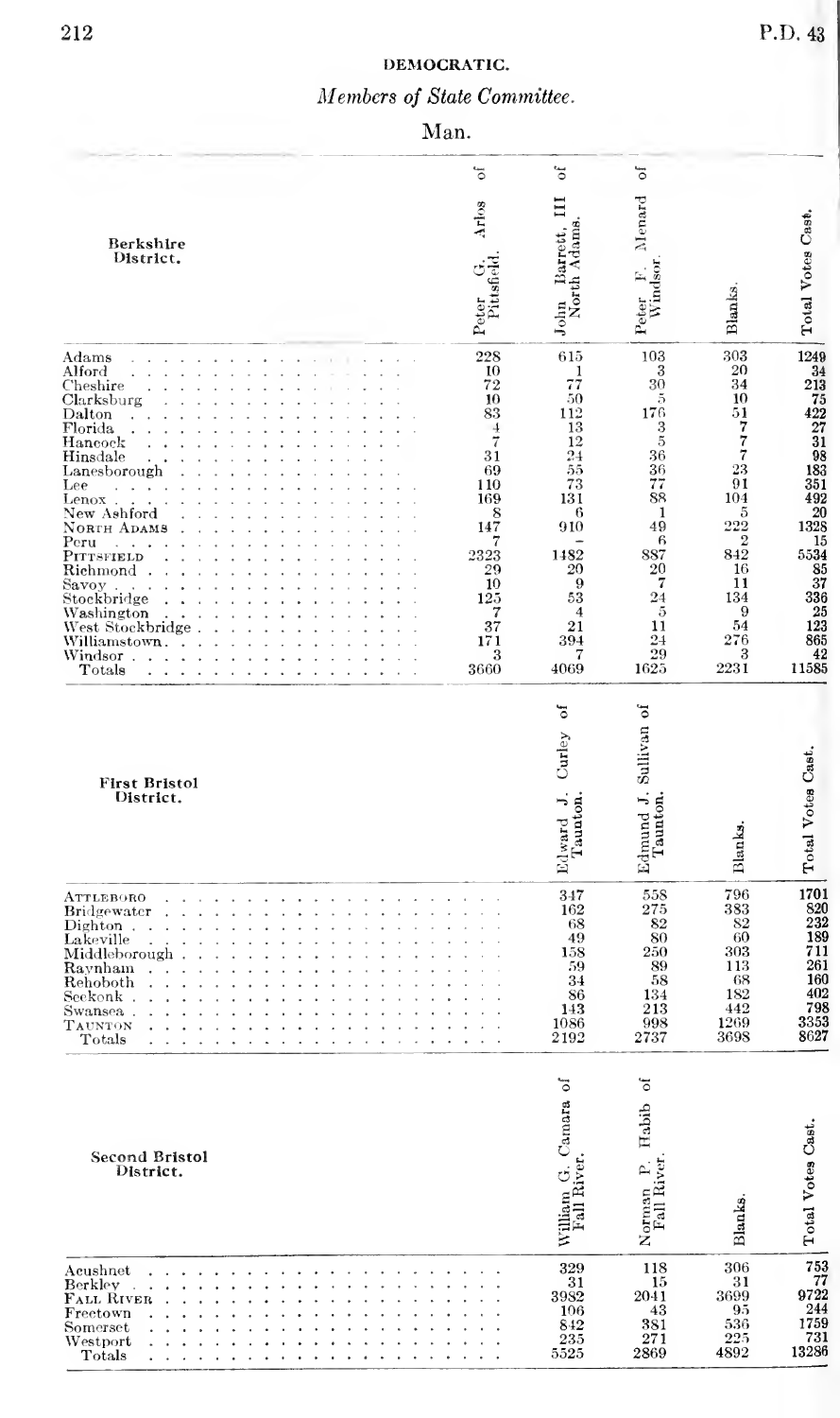# Members of State Committee.

|                                                                                                                                                                                                                                                                                                                                                                                      | ð                                                                                                                                                                              | ัธ                                                                                                                                                                                                                            | ð                                                                                                                                                                          |                                                                                                                                                                                                                       |                                                                                                                                                                                                  |
|--------------------------------------------------------------------------------------------------------------------------------------------------------------------------------------------------------------------------------------------------------------------------------------------------------------------------------------------------------------------------------------|--------------------------------------------------------------------------------------------------------------------------------------------------------------------------------|-------------------------------------------------------------------------------------------------------------------------------------------------------------------------------------------------------------------------------|----------------------------------------------------------------------------------------------------------------------------------------------------------------------------|-----------------------------------------------------------------------------------------------------------------------------------------------------------------------------------------------------------------------|--------------------------------------------------------------------------------------------------------------------------------------------------------------------------------------------------|
| Berkshire<br>District.                                                                                                                                                                                                                                                                                                                                                               | Arlos<br>eter G.<br>Pittsfield.<br>Peter                                                                                                                                       | John Barrett, III<br>North Adams.                                                                                                                                                                                             | Peter F. Menard<br>Windsor                                                                                                                                                 | Blanks                                                                                                                                                                                                                | Total Votes Cast.                                                                                                                                                                                |
| Adams<br>Alford<br>Cheshire<br>Clarksburg<br>Dalton<br>÷,<br>Florida<br>Hancock<br>Hinsdale<br>Lanesborough<br>Lee<br>$\ddot{\phantom{0}}$<br>i,<br>Lenox<br>New Ashford<br>NORTH ADAMS<br>l,<br>Peru<br>$\sim$ $\sim$<br>$\overline{a}$<br>PITTSFIELD<br>Richmond<br>Savoy<br>Stoekbridge<br>l,<br>Washington<br>West Stockbridge<br>Williamstown.<br>$\cdot$<br>Windsor.<br>Totals | 228<br>10<br>72<br>$\overline{10}$<br>83<br>$\frac{4}{7}$<br>31<br>69<br>110<br>169<br>$\frac{8}{147}$<br>2323<br>$\frac{29}{10}$<br>125<br>$\frac{7}{37}$<br>171<br>3<br>3660 | 615<br>$\begin{array}{c} 1 \\ 77 \\ 50 \end{array}$<br>112<br>$\frac{13}{12}$<br>$\frac{24}{55}$<br>$\frac{55}{73}$<br>131<br>6<br>910<br>1482<br>$\overline{20}$<br>9<br>53<br>$\overline{4}$<br>$^{21}$<br>394<br>7<br>4069 | 103<br>3<br>30<br>5<br>176<br>$\frac{3}{5}$<br>36<br>$\frac{36}{77}$<br>88<br>$\mathbf{1}$<br>49<br>$\frac{6}{887}$<br>$\frac{20}{7}$<br>24<br>5<br>11<br>24<br>29<br>1625 | 303<br>$\frac{20}{34}$<br>$\overline{10}$<br>$\begin{smallmatrix}51\7\7\7\1\end{smallmatrix}$<br>23<br>$\overline{91}$<br>104<br>$\frac{5}{222}$<br>$\frac{2}{842}$<br>16<br>11<br>134<br>9<br>54<br>276<br>3<br>2231 | $\begin{array}{r} 1249 \\ 213 \\ 213 \\ 75 \\ 227 \\ 31 \\ 98 \\ 183 \\ 194 \\ 20 \\ 132 \\ 15 \\ \end{array}$<br>5534<br>$\frac{85}{37}$<br>$\frac{336}{25}$<br>$\frac{25}{123}$<br>42<br>11585 |
| <b>First Bristol</b><br><b>District.</b>                                                                                                                                                                                                                                                                                                                                             |                                                                                                                                                                                | ৳<br>Curley<br>Edward J.<br>Taunton.                                                                                                                                                                                          | ัธ<br>Edmund J. Sullivan<br>Taunton                                                                                                                                        | Blanks.                                                                                                                                                                                                               | Total Votes Cast.                                                                                                                                                                                |
| ATTLEBORO<br>Bridgewater<br>Dighton<br>Lakeville<br>Middleborough<br>Raynham<br>l,<br>Rehoboth<br>Seekonk<br>Swansea<br>TAUNTON<br>$_{\rm Totals}$                                                                                                                                                                                                                                   |                                                                                                                                                                                | 347<br>162<br>68<br>49<br>158<br>59<br>34<br>86<br>143<br>1086<br>2192                                                                                                                                                        | 558<br>275<br>82<br>80<br>250<br>89<br>58<br>134<br>213<br>998<br>2737                                                                                                     | 796<br>383<br>82<br>60<br>303<br>113<br>68<br>182<br>442<br>1269<br>3698                                                                                                                                              | $\begin{array}{r} 1701 \\ 820 \\ 232 \\ 189 \\ 711 \\ 261 \\ 160 \end{array}$<br>$\frac{402}{798}$<br>3353<br>8627                                                                               |
| <b>Second Bristol</b><br>District.                                                                                                                                                                                                                                                                                                                                                   |                                                                                                                                                                                | ัธ<br>William G. Camara<br>Fall River.                                                                                                                                                                                        | ی.<br>Habib<br>Norman P.<br>Fall River.                                                                                                                                    | Blanks.                                                                                                                                                                                                               | Total Votes Cast.                                                                                                                                                                                |
| Acushnet<br>Berkley<br>FALL RIVER<br>Freetown<br>Somerset<br>Westport<br>ï<br>Totals<br>ł,<br>ż<br>l,<br>ż                                                                                                                                                                                                                                                                           | ï<br>ł                                                                                                                                                                         | $\substack{329 \\ 31}$<br>3982<br>106<br>842<br>235<br>5525                                                                                                                                                                   | 118<br>15<br>2041<br>43<br>381<br>271<br>2869                                                                                                                              | 306<br>31<br>3699<br>95<br>536<br>225<br>4892                                                                                                                                                                         | 753<br>$\frac{77}{244}$<br>$\frac{244}{1759}$<br>731<br>13286                                                                                                                                    |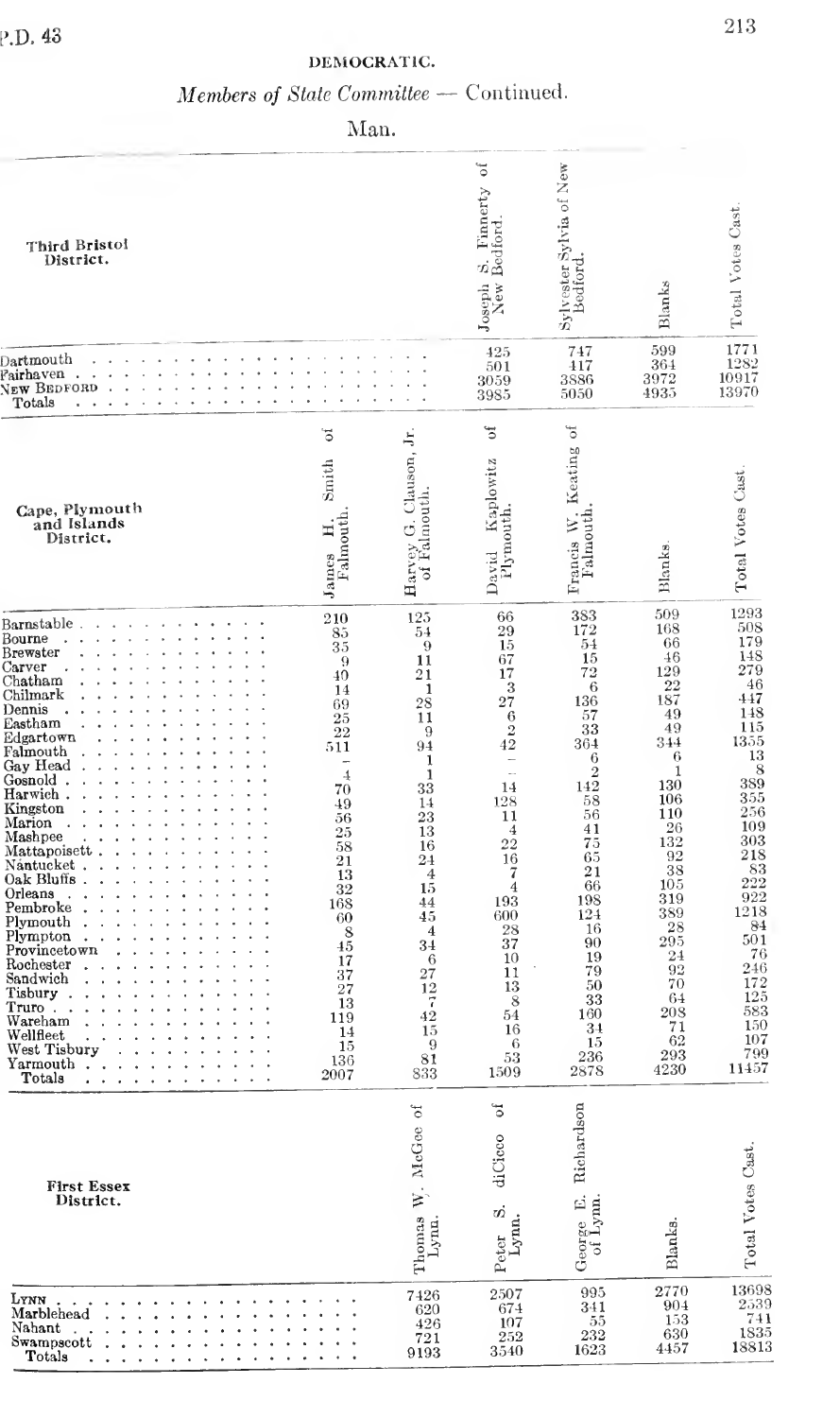|  | Man. |  |
|--|------|--|
|  |      |  |

| Third Bristoi<br>District.<br>$_{\mathrm{Dartmouth}}$<br>Pairhaven                                                                                                                                                                                                                                                                                                                                                                                                      |                                                                                                                                                                                                                                                           |                                                                                                                                                                                                                                                                                                                                   | ŏ<br>Joseph S. Finnerty<br>New Bedford.<br>425<br>$\frac{501}{3059}$                                                                                                                                                                                                            | Sylvester Sylvia of New<br>Bedford.<br>747<br>417                                                                                                                                                                                                                                 | Blanks<br>$\begin{array}{c} 599 \\ 364 \\ 3972 \end{array}$                                                                                                                                                                                | Total Votes Cast<br>$\begin{array}{c} 1771 \\ 1282 \\ 10917 \end{array}$                                                                                                                                                                                                                                                               |
|-------------------------------------------------------------------------------------------------------------------------------------------------------------------------------------------------------------------------------------------------------------------------------------------------------------------------------------------------------------------------------------------------------------------------------------------------------------------------|-----------------------------------------------------------------------------------------------------------------------------------------------------------------------------------------------------------------------------------------------------------|-----------------------------------------------------------------------------------------------------------------------------------------------------------------------------------------------------------------------------------------------------------------------------------------------------------------------------------|---------------------------------------------------------------------------------------------------------------------------------------------------------------------------------------------------------------------------------------------------------------------------------|-----------------------------------------------------------------------------------------------------------------------------------------------------------------------------------------------------------------------------------------------------------------------------------|--------------------------------------------------------------------------------------------------------------------------------------------------------------------------------------------------------------------------------------------|----------------------------------------------------------------------------------------------------------------------------------------------------------------------------------------------------------------------------------------------------------------------------------------------------------------------------------------|
| $\ddot{\phantom{0}}$<br><b>NEW BEDFORD</b><br>Totals<br>Cape, Plymouth<br>and Islands<br>District.                                                                                                                                                                                                                                                                                                                                                                      | ð<br>Smith<br>Falmouth<br>H.<br>James                                                                                                                                                                                                                     | Harvey G. Clauson, Jr.<br>of Falmouth                                                                                                                                                                                                                                                                                             | 3985<br>ð<br>David Kaplowitz<br>Plymouth.                                                                                                                                                                                                                                       | 3886<br>5050<br>F<br>Francis W. Keating<br>Falmouth.                                                                                                                                                                                                                              | 4935<br>Blanks                                                                                                                                                                                                                             | 13970<br>Total Votes Cast                                                                                                                                                                                                                                                                                                              |
| Barnstable<br>Bourne<br>Brewster<br>Carver<br>Chatham<br>Chilmark<br>Dennis<br>Eastham<br>Edgartown<br>Falmouth<br>Gay Head<br>Gosnold<br>Harwich<br>Kingston<br>Marion<br>Mashpee<br>Mattapoisett<br>Nantucket<br>Oak Bluffs<br>Orleans<br>Pembroke<br>Plymouth<br>Plympton<br>Provincetown<br>Rochester<br>Sandwich<br>Tisbury<br>Truro<br>Wareham<br>Wellfleet<br>West Tisbury<br>Yarmouth<br>Totals<br>ï<br>ï<br>$\ddot{\phantom{0}}$<br>l,<br>$\ddot{\phantom{0}}$ | 210<br>$\frac{85}{35}$<br>9<br>40<br>14<br>69<br>25<br>$\overline{22}$<br>511<br>$\overline{1}$<br>70<br>49<br>56<br>$\substack{25 \\ 58}$<br>$^{21}$<br>$^{13}$<br>32<br>168<br>60<br>$845$<br>$1737$<br>$273$<br>$13$<br>119<br>14<br>15<br>136<br>2007 | $\begin{array}{c} 125 \\ 54 \end{array}$<br>9<br>11<br>$\overline{21}$<br>1<br>28<br>īĭ<br>9<br>94<br>$\mathbf 1$<br>1<br>33<br>14<br>$\frac{23}{13}$<br>16<br>$^{24}$<br>$\frac{4}{15}$<br>44<br>45<br>$\overline{4}$<br>34<br>$\sqrt{6}$<br>$\begin{smallmatrix} 27 \\ 12 \\ 7 \\ 42 \\ 15 \\ 9 \end{smallmatrix}$<br>81<br>833 | 66<br>$\frac{29}{15}$ $\frac{15}{67}$ $\frac{7}{3}$ $\frac{3}{7}$ $\frac{7}{6}$ $\frac{6}{2}$<br>42<br>i,<br>L.<br>14<br>128<br>11<br>4<br>22<br>16<br>7<br>$\overline{4}$<br>193<br>600<br>$\frac{28}{37}$<br>10<br>11<br>13<br>8<br>54<br>16<br>$\sqrt{6}$<br>$^{53}$<br>1509 | $\begin{array}{c} 383 \\ 172 \\ 54 \end{array}$<br>15<br>72<br>$\overline{6}$<br>136<br>57<br>33<br>364<br>6<br>$\overline{2}$<br>142<br>$\frac{58}{56}$<br>41<br>75<br>65<br>$\frac{21}{66}$<br>198<br>124<br>16<br>90<br>19<br>79<br>50<br>33<br>160<br>34<br>15<br>236<br>2878 | 509<br>168<br>66<br>46<br>129<br>22<br>$1\bar{8}\bar{7}$<br>49<br>49<br>344<br>6<br>1<br>130<br>106<br>$\frac{110}{26}$<br>132<br>92<br>38<br>105<br>319<br>389<br>28<br>295<br>24<br>92<br>70<br>64<br>208<br>$^{71}_{62}$<br>293<br>4230 | $\begin{array}{c} 1293 \\ 508 \end{array}$<br>179<br>148<br>279<br>46<br>447<br>148<br>$\frac{115}{1355}$<br>13<br>8<br>389<br>355<br>256<br>109<br>303<br>$\begin{array}{r} 218 \\ 218 \\ 83 \\ 222 \\ 922 \\ 1218 \\ 94 \end{array}$<br>8 <sub>4</sub><br>501<br>76<br>246<br>$\frac{172}{125}$<br>583<br>150<br>107<br>799<br>11457 |
| <b>First Essex</b><br>District.                                                                                                                                                                                                                                                                                                                                                                                                                                         |                                                                                                                                                                                                                                                           | Thomas W. McGee of ${\rm Lym}$ .                                                                                                                                                                                                                                                                                                  | ō<br>diCieco<br>υģ<br>Lynn.<br>Peter                                                                                                                                                                                                                                            | Richardson<br>George E.                                                                                                                                                                                                                                                           | Blanks.                                                                                                                                                                                                                                    | Total Votes Cast.                                                                                                                                                                                                                                                                                                                      |
| Lynn<br>Marblehead<br>Nahant<br>svanant<br>Swampscott<br>Totals                                                                                                                                                                                                                                                                                                                                                                                                         | ï                                                                                                                                                                                                                                                         | 7426<br>$\frac{620}{426}$<br>721<br>9193                                                                                                                                                                                                                                                                                          | 2507<br>$\frac{674}{107}$<br>252<br>3540                                                                                                                                                                                                                                        | $\begin{array}{r}\n 995 \\  341 \\  55 \\  232\n\end{array}$<br>1623                                                                                                                                                                                                              | 2770<br>904<br>153<br>630<br>4457                                                                                                                                                                                                          | $\frac{13698}{2539}$<br>$\frac{741}{222}$<br>1835<br>18813                                                                                                                                                                                                                                                                             |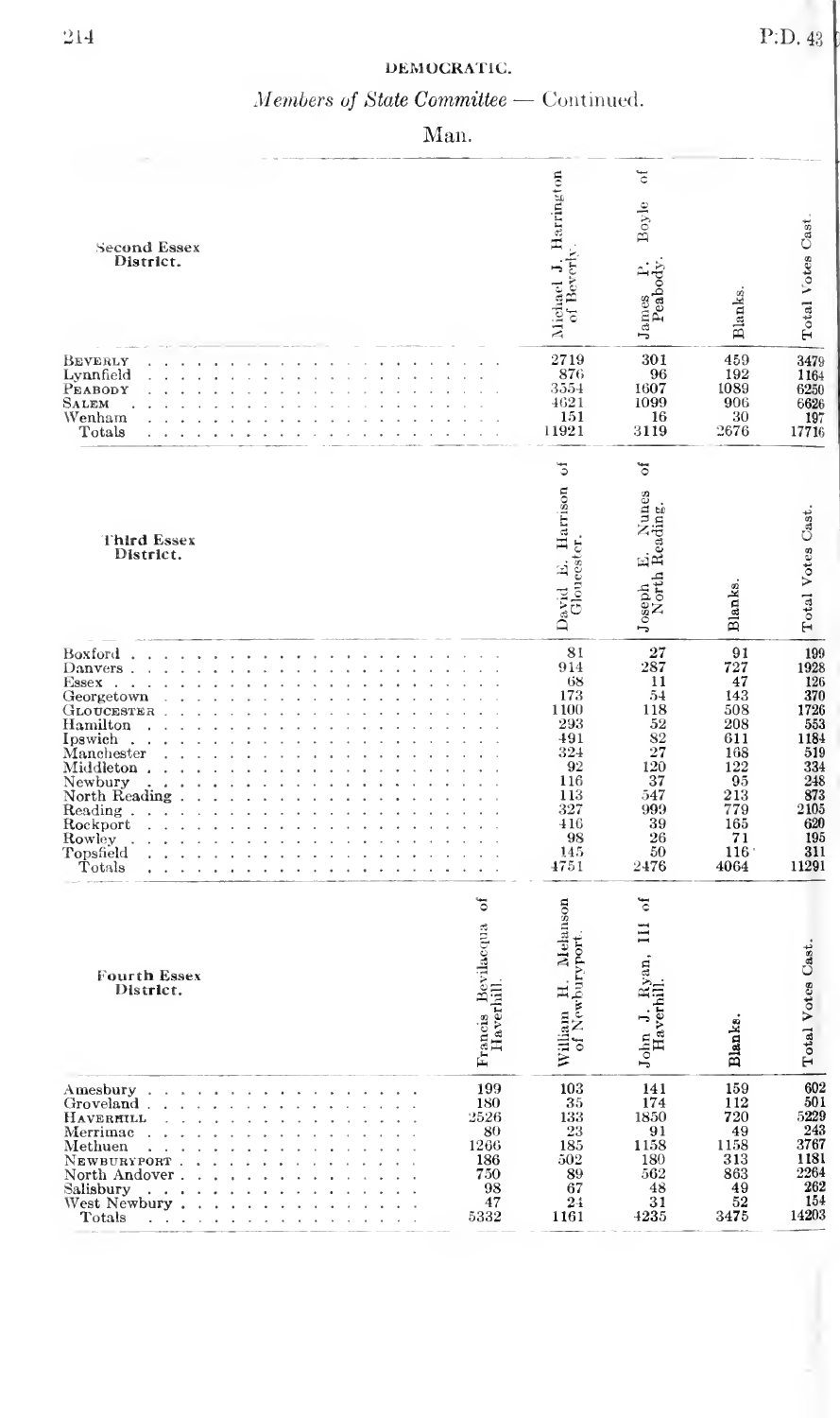| Man. |  |
|------|--|
|------|--|

| <b>Second Essex</b><br>District.                                                                                                                                                                               |                                                                                                                                                                                                                                                                                                                                                                                                   |                                                                    | Michael J. Harrington<br>of Beverly.                                                                       | č<br>Boyle<br>ă,<br>Peabody<br>James                                                                       | Blanks.                                                                                                   | Total Votes Cast                                                                                                                              |
|----------------------------------------------------------------------------------------------------------------------------------------------------------------------------------------------------------------|---------------------------------------------------------------------------------------------------------------------------------------------------------------------------------------------------------------------------------------------------------------------------------------------------------------------------------------------------------------------------------------------------|--------------------------------------------------------------------|------------------------------------------------------------------------------------------------------------|------------------------------------------------------------------------------------------------------------|-----------------------------------------------------------------------------------------------------------|-----------------------------------------------------------------------------------------------------------------------------------------------|
| BEVERLY<br>Lynnfield<br>PEABODY<br><b>SALEM</b><br>Wenham<br>Totals                                                                                                                                            |                                                                                                                                                                                                                                                                                                                                                                                                   |                                                                    | 2719<br>876<br>3554<br>$\begin{array}{c} 4621 \\ 151 \end{array}$<br>11921                                 | 301<br>96<br>1607<br>1099<br>16<br>3119                                                                    | 459<br>192<br>1089<br>906<br>$\overline{30}$<br>2676                                                      | 3479<br>1164<br>6250<br>6626<br>197<br>17716                                                                                                  |
| Third Essex<br>District.                                                                                                                                                                                       |                                                                                                                                                                                                                                                                                                                                                                                                   |                                                                    | 5<br>David E. Harrison<br>Gloucester.                                                                      | ัธ<br>Nunes<br>seph E. Nun<br>North Reading<br>Joseph                                                      | Blanks.                                                                                                   | Total Votes Cast.                                                                                                                             |
| Boxford<br>Danvers<br>J.<br>l,<br>Essex<br>Georgetown<br>GLOUCESTER<br>Hamilton<br>Ipswich<br>Manchester<br>Middleton<br>Newbury<br>North Reading<br>J<br>Reading<br>Rockport<br>Rowley<br>Topsfield<br>Totals | l<br>$\ddot{\phantom{0}}$<br>l,<br>l,<br>Ĩ,<br>l,<br>l<br>l,<br>l,<br>l,<br>$\ddot{\phantom{a}}$<br>$\ddot{\phantom{a}}$<br>l,<br>l,<br>l,<br>$\ddot{\phantom{0}}$<br>$\ddot{\phantom{a}}$<br>l,<br>Ĩ,<br>$\ddot{\phantom{a}}$<br>l,<br>l,<br>$\ddot{\phantom{0}}$<br>l,<br>$\ddot{\phantom{0}}$<br>$\overline{a}$<br>J<br>l<br>$\overline{a}$<br>l,<br>l<br>J<br>J.<br>J.<br>l<br>$\overline{a}$ |                                                                    | 81<br>914<br>68<br>173<br>1100<br>293<br>491<br>324<br>92<br>116<br>113<br>327<br>416<br>98<br>145<br>4751 | $\frac{27}{287}$<br>11<br>54<br>118<br>52<br>82<br>27<br>120<br>37<br>547<br>999<br>39<br>26<br>50<br>2476 | 91<br>727<br>47<br>143<br>508<br>208<br>611<br>168<br>122<br>95<br>213<br>779<br>165<br>71<br>116<br>4064 | 199<br>$\frac{1928}{126}$<br>$\frac{126}{370}$<br>$\frac{553}{1184}$<br>519<br>334<br>248<br>873<br>2105<br>620<br>195<br>$\frac{311}{11291}$ |
| <b>Fourth Essex</b><br>District.                                                                                                                                                                               |                                                                                                                                                                                                                                                                                                                                                                                                   | 5<br>Francis Bevilacqua<br>Haverhill.                              | Melanson<br>of Newburyport<br>$\mathbf{H}$<br>William                                                      | 75<br>John J. Ryan, III<br>Haverhil.                                                                       | Blanks.                                                                                                   | Total Votes Cast.                                                                                                                             |
| $A$ mesbury<br>Groveland<br>Haverhill<br>Merrimac<br>$_{\rm Methuen}$<br>NEWBURYPORT<br>North Andover<br>Salisbury<br>West Newbury<br>Totals<br>l,<br>l,<br>í.                                                 | J<br>l,<br>ł,<br>÷,<br>ł<br>ï<br>ï                                                                                                                                                                                                                                                                                                                                                                | 199<br>180<br>2526<br>80<br>1266<br>186<br>750<br>98<br>47<br>5332 | 103<br>35<br>133<br>$\frac{23}{185}$<br>502<br>$\frac{89}{67}$<br>$\overline{24}$<br>1161                  | 141<br>174<br>1850<br>91<br>1158<br>180<br>562<br>48<br>31<br>4235                                         | 159<br>112<br>720<br>49<br>1158<br>313<br>863<br>$\frac{49}{52}$<br>3475                                  | $\begin{array}{r} 602 \\ 501 \\ 5229 \\ 243 \\ 3767 \\ 1181 \\ 9064 \end{array}$<br>2264<br>262<br>154<br>14203                               |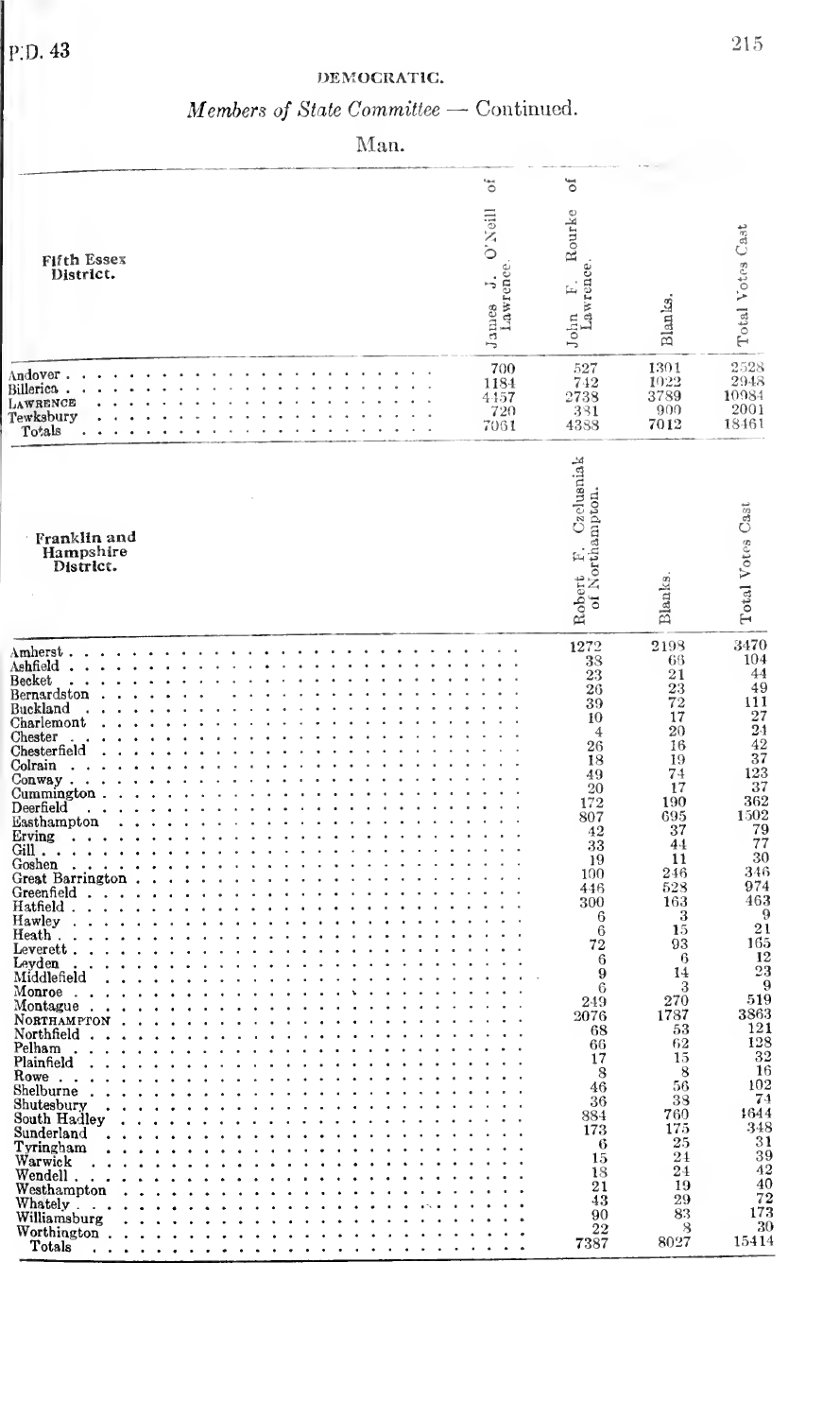### DEMOCRATIC.

# $Members of State Committee \rightarrow {Continued}.$

| Man.                                                                                                                                                                                                                                                                                                                                                                                                                                                                                                                                                                                                                                       |                                                                                   |                                                                                                                                                                                                                                                                                                                                                                                                                                                                                                                                                                                                                                                                                                                                                                                                                                                                                                                 |
|--------------------------------------------------------------------------------------------------------------------------------------------------------------------------------------------------------------------------------------------------------------------------------------------------------------------------------------------------------------------------------------------------------------------------------------------------------------------------------------------------------------------------------------------------------------------------------------------------------------------------------------------|-----------------------------------------------------------------------------------|-----------------------------------------------------------------------------------------------------------------------------------------------------------------------------------------------------------------------------------------------------------------------------------------------------------------------------------------------------------------------------------------------------------------------------------------------------------------------------------------------------------------------------------------------------------------------------------------------------------------------------------------------------------------------------------------------------------------------------------------------------------------------------------------------------------------------------------------------------------------------------------------------------------------|
| <b>Fifth Essex</b><br>District.                                                                                                                                                                                                                                                                                                                                                                                                                                                                                                                                                                                                            | ð<br>ð<br><b>UPN.O</b><br>Rourke<br>Lawrence<br>$\ddot{ }$<br>ŗ.<br>James<br>John | Total Votes Cast<br>Lawrence<br>Blanks.                                                                                                                                                                                                                                                                                                                                                                                                                                                                                                                                                                                                                                                                                                                                                                                                                                                                         |
| Andover<br>J.<br>Billerica<br>J.<br>LAWRENCE<br>Tewksbury<br>Totals                                                                                                                                                                                                                                                                                                                                                                                                                                                                                                                                                                        | 700<br>527<br>1184<br>4457<br>2738<br>720<br>4333<br>7061                         | 2528<br>1301<br>742<br>1022<br>2948<br>3789<br>10984<br>900<br>2001<br>331<br>7012<br>18461                                                                                                                                                                                                                                                                                                                                                                                                                                                                                                                                                                                                                                                                                                                                                                                                                     |
| Franklin and<br>Hampshire<br>District.                                                                                                                                                                                                                                                                                                                                                                                                                                                                                                                                                                                                     | Robert F. Czelusniak                                                              | of Northampton<br>Total Votes Cast<br><b>Blanks</b><br>3470<br>2198<br>1272                                                                                                                                                                                                                                                                                                                                                                                                                                                                                                                                                                                                                                                                                                                                                                                                                                     |
| Amherst<br>Ashfield<br>Becket<br>ï<br>Bernardston<br>Buckland<br>Charlemont<br>Chester<br>Chesterfield<br>Colrain<br>Conway.<br>Cummington<br>Deerfield<br>$\textbf{Easthampton}$<br>Erving<br>$\ddot{\phantom{0}}$<br>$Gill$ .<br>Goshen<br>Great Barrington<br>Greenfield<br>$\ddot{\phantom{a}}$<br>Hatfield.<br>Hawley<br>Heath.<br>Leverett<br>Leyden<br>Middlefield<br>Monroe<br>Montague<br>NORTHAMPTON<br>Northfield<br>Pelham<br>Plainfield<br>Rowe.<br>Shelburne<br>Shutesbury<br>South Hadley<br>Sunderland<br>Tyringham<br>Warwick<br>Wendell .<br>Westhampton<br>Whately.<br>$\sim$<br>Williamsburg<br>Worthington.<br>Totals |                                                                                   | 104<br>38<br>66<br>44<br>21<br>23<br>49<br>23<br>26<br>72<br>111<br>39<br>$\frac{27}{24}$<br>17<br>10<br>$_{20}$<br>$\overline{4}$<br>42<br>26<br>16<br>37<br>19<br>18<br>123<br>74<br>49<br>37<br>17<br>20<br>362<br>172<br>190<br>1502<br>695<br>807<br>$\frac{79}{77}$<br>37<br>42<br>33<br>44<br>30<br>11<br>19<br>246<br>346<br>100<br>974<br>528<br>446<br>463<br>300<br>163<br>9<br>6<br>3<br>21<br>15<br>6<br>$1\bar{6}5$<br>72<br>93<br>12<br>6<br>6<br>23<br>9<br>14<br>9<br>3<br>6<br>519<br>270<br>249<br>1787<br>3863<br>2076<br>121<br>53<br>68<br>$\begin{array}{r} 128 \\ 32 \\ 16 \end{array}$<br>62<br>66<br>15<br>17<br>8<br>8<br>102<br>56<br>46<br>$\frac{74}{1644}$<br>38<br>36<br>760<br>884<br>348<br>173<br>175<br>31<br>25<br>6<br>24<br>39<br>15<br>42<br>24<br>18<br>40<br>19<br>$^{21}$<br>$\frac{72}{173}$<br>29<br>43<br>83<br>90<br>30<br>$^{22}$<br>8<br>8027<br>15414<br>7387 |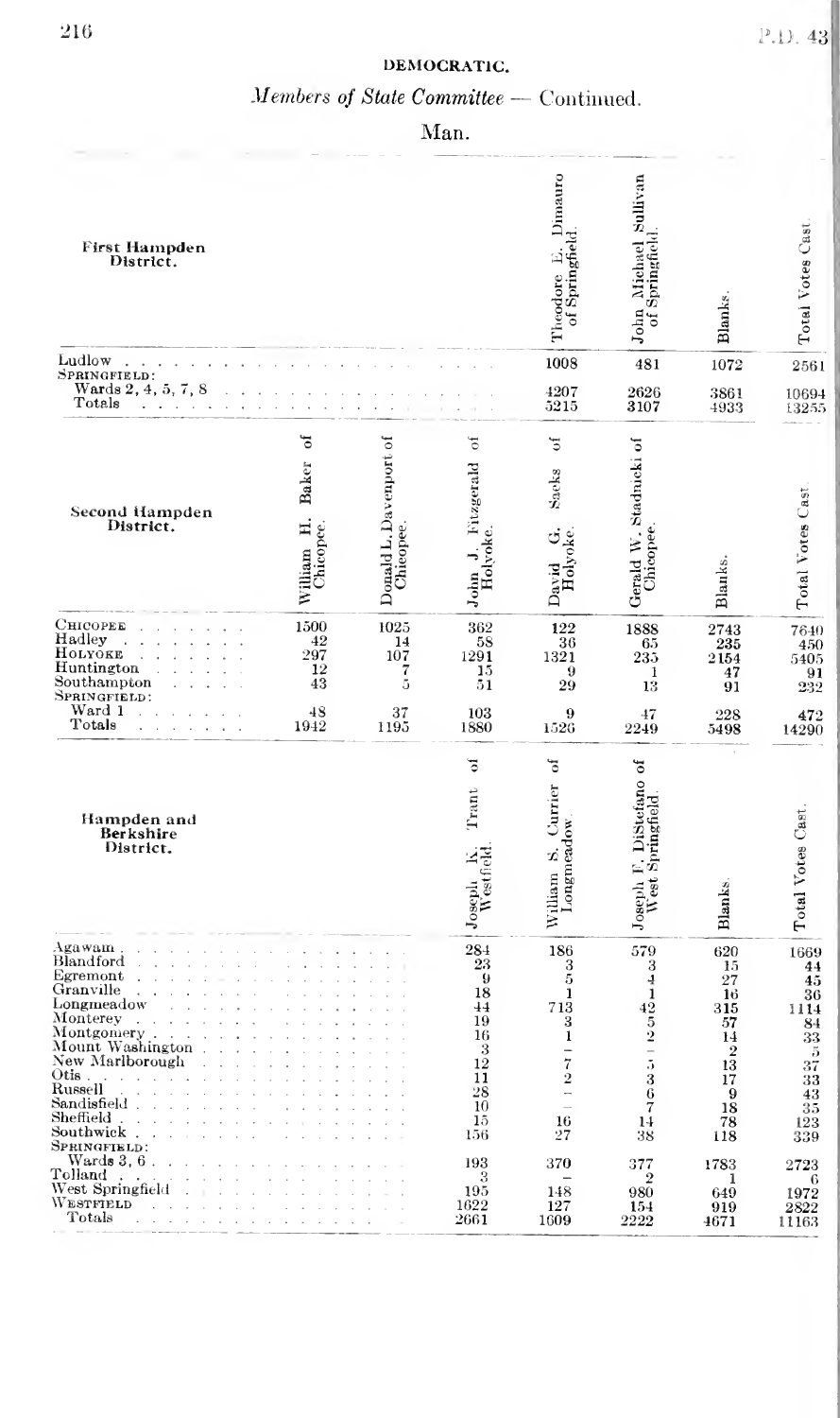| <b>First Hampden</b><br>District.                                                                                                                                                                                                                                                                                                                      |                                                                                                                                                                                                                                                                                                                                |                                    |                                                                                                                                          | Theodore E. Dinauro<br>of Springfield.                                                     | John Michael Sullivan<br>of Springfield.                                                          | Blanks.                                                                                                                                 | Total Votes Cast                                                                                               |
|--------------------------------------------------------------------------------------------------------------------------------------------------------------------------------------------------------------------------------------------------------------------------------------------------------------------------------------------------------|--------------------------------------------------------------------------------------------------------------------------------------------------------------------------------------------------------------------------------------------------------------------------------------------------------------------------------|------------------------------------|------------------------------------------------------------------------------------------------------------------------------------------|--------------------------------------------------------------------------------------------|---------------------------------------------------------------------------------------------------|-----------------------------------------------------------------------------------------------------------------------------------------|----------------------------------------------------------------------------------------------------------------|
| Ludlow<br>SPRINGFIELD:                                                                                                                                                                                                                                                                                                                                 |                                                                                                                                                                                                                                                                                                                                |                                    |                                                                                                                                          | 1008                                                                                       | 481                                                                                               | 1072                                                                                                                                    | 2561                                                                                                           |
| Wards 2, 4, 5, 7, 8<br>Totals<br>$\ddot{\phantom{0}}$<br>$\ddot{\phantom{0}}$<br>÷,                                                                                                                                                                                                                                                                    |                                                                                                                                                                                                                                                                                                                                |                                    |                                                                                                                                          | 4207<br>5215                                                                               | $\begin{array}{c} 2626 \\ 3107 \end{array}$                                                       | 3861<br>4933                                                                                                                            | 10694<br>1325:                                                                                                 |
| Second Hampden<br>District.                                                                                                                                                                                                                                                                                                                            | ัธ<br>Baker<br>William H.<br>Chicopee.                                                                                                                                                                                                                                                                                         | Donald L. Davenport of<br>Chicopee | ð<br>John J. Fitzgerald<br>Holyoke.                                                                                                      | ٦,<br>Sacks<br>David G.<br>Holyoke.                                                        | Gerald W. Stadnicki of<br>Chicopee                                                                | Blanks.                                                                                                                                 | Total Votes Cast                                                                                               |
| Снісорее<br>Hadley<br>HOLYOKE                                                                                                                                                                                                                                                                                                                          | 1500<br>42<br>297                                                                                                                                                                                                                                                                                                              | 1025<br>14                         | 362<br>58                                                                                                                                | 122<br>$\frac{36}{1321}$                                                                   | 1888<br>65                                                                                        | 2743<br>235                                                                                                                             | 7640<br>450                                                                                                    |
| Huntington<br>Southampton                                                                                                                                                                                                                                                                                                                              | 12<br>43                                                                                                                                                                                                                                                                                                                       | 107<br>$\frac{7}{5}$               | $\begin{array}{r} \stackrel{95}{\cancel{0}} \\ \stackrel{1291}{\cancel{5}} \\ \stackrel{51}{\cancel{5}} \end{array}$                     | 9<br>29                                                                                    | 235<br>1<br>13                                                                                    | 2154<br>$\overline{47}$<br>91                                                                                                           | 5405<br>91<br>232                                                                                              |
| SPRINGFIELD:<br>Ward 1<br>Totals                                                                                                                                                                                                                                                                                                                       | 48<br>1942                                                                                                                                                                                                                                                                                                                     | 37<br>1195                         | 103<br>1880                                                                                                                              | 9<br>1526                                                                                  | 47<br>2249                                                                                        | $\begin{array}{c} 228 \\ 5498 \end{array}$                                                                                              | $\frac{472}{14290}$                                                                                            |
| Hampden and<br>Berkshire<br>District.                                                                                                                                                                                                                                                                                                                  |                                                                                                                                                                                                                                                                                                                                |                                    | 75<br>Trant<br>Joseph K.<br>Westfield.                                                                                                   | ď<br>William S. Currier<br>Longmeadow                                                      | Joseph F. DiStefano of<br>West Springfield.                                                       | Blanks.                                                                                                                                 | Total Votes Cast                                                                                               |
| Agawam<br>Blandford<br>Egremont<br>Granville<br>Longmeadow<br>Monterey<br>÷<br>Montgomery<br>$\overline{\phantom{a}}$<br>Mount Washington<br>l,<br>i,<br>J.<br>New Marlborough<br>J.<br>÷<br>$\ddot{\phantom{a}}$<br>÷.<br>÷.<br>Russell<br>÷.<br>Sandisfield<br>i,<br>$\mathcal{L}$<br>Sheffield<br>Southwick<br>$\ddot{\phantom{0}}$<br>SPRINGFIELD: | à.<br>l.<br>l.<br>$\overline{\phantom{a}}$<br>÷.<br>J.<br>÷.<br>ł.<br>ł.<br>÷<br>$\overline{\phantom{a}}$<br>÷.<br>$\overline{a}$<br>$\overline{a}$<br>J.<br>i,<br>$\sim$ 10 $\pm$<br>$\mathcal{L}$<br>$\overline{a}$<br>i.<br>$\sim$ $\sim$<br>J.<br>$\mathcal{L}$<br>J.<br>J.<br>J.<br>l,<br>i,<br>i,<br>J.<br>$\mathcal{L}$ |                                    | 284<br>23<br>9<br>18<br>$^{44}$<br>19<br>16<br>$\begin{array}{c} 3 \\ 12 \\ 11 \end{array}$<br>28<br>$\overline{10}$<br>15<br>156<br>193 | 186<br>3<br>5<br>1<br>713<br>$\frac{3}{1}$<br>$\frac{7}{2}$<br>Į,<br>i,<br>16<br>27<br>370 | 579<br>3<br>4<br>$\mathbf{1}$<br>$\frac{42}{5}$ $\frac{5}{3}$<br>$\frac{6}{7}$<br>14<br>38<br>377 | 620<br>15<br>27<br>$\overline{16}$<br>315<br>57<br>14<br>$\begin{smallmatrix} 2\\13\\17\\9\end{smallmatrix}$<br>18<br>78<br>118<br>1783 | 1669<br>$\begin{array}{r} 44 \\ 45 \\ 11 \\ 14 \\ 33 \\ 5 \\ 7 \\ 33 \\ 43 \\ 35 \\ \end{array}$<br>123<br>339 |
| Wards 3, 6<br>Tolland<br>West Springfield<br>WESTFIELD<br>ł,<br>Totals<br>l,<br>ł,                                                                                                                                                                                                                                                                     | ł.<br>J.<br>l,<br>ł,<br>ł,<br>i,<br>ï<br>ï                                                                                                                                                                                                                                                                                     |                                    | 3<br>195<br>1622<br>2661                                                                                                                 | 148<br>127<br>1609                                                                         | $\overline{2}$<br>980<br>154<br>2222                                                              | ı<br>649<br>919<br>4671                                                                                                                 | 2723<br>$\begin{array}{r} 2126 \\ 1972 \\ 2822 \\ 11163 \end{array}$                                           |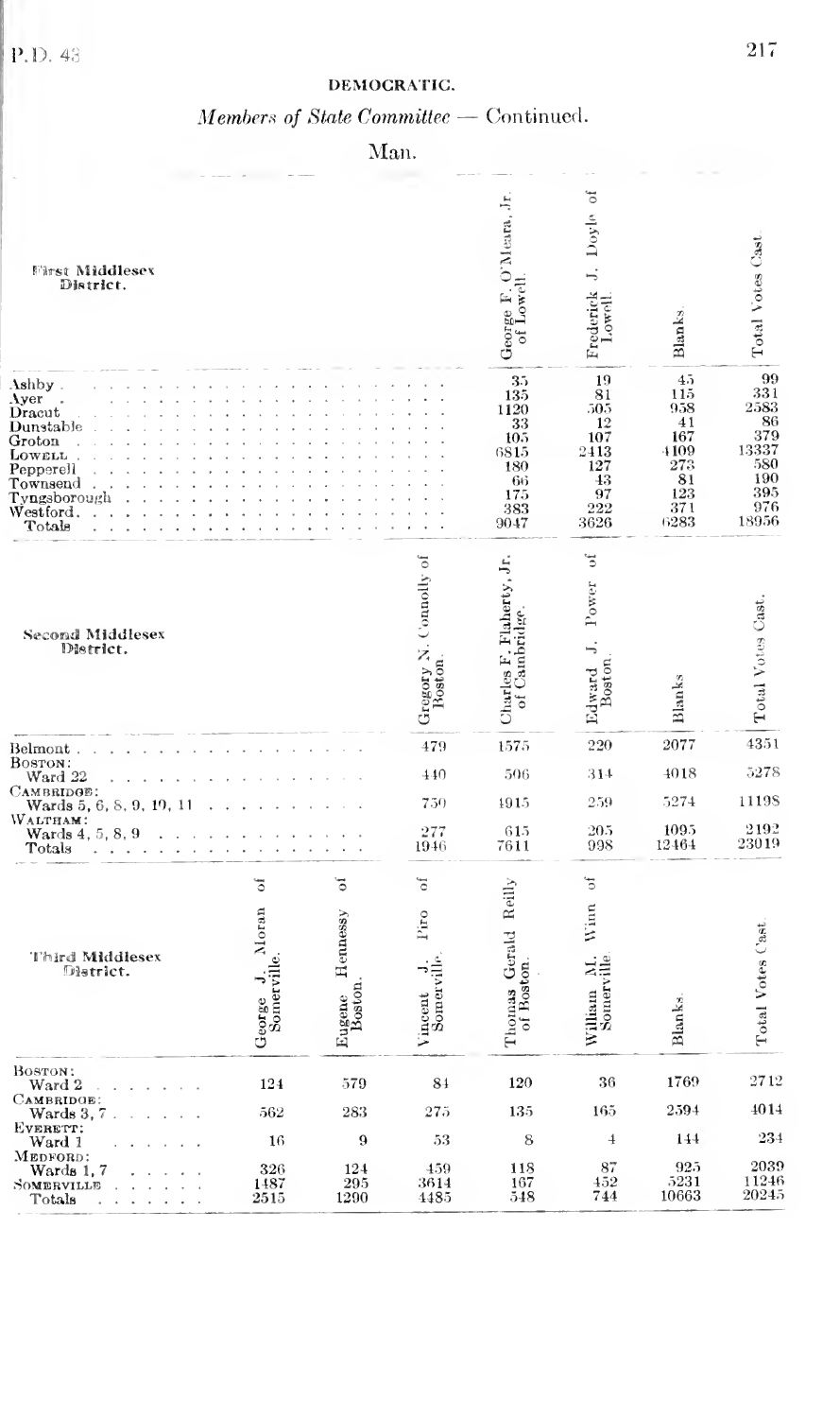#### *Members of State Committee* — Continued.

Man.

| <b>First Middlesex</b><br>District.                                                                                           |                                  |                                 |                                            | George F. O'Meara, Jr. of Lowell.                                                 | Frederick J. Doyle of<br>Lowell.                                                     | <b>Blanks</b>                                                                                                     | Total Votes Cast                                                                                                         |
|-------------------------------------------------------------------------------------------------------------------------------|----------------------------------|---------------------------------|--------------------------------------------|-----------------------------------------------------------------------------------|--------------------------------------------------------------------------------------|-------------------------------------------------------------------------------------------------------------------|--------------------------------------------------------------------------------------------------------------------------|
| Ashby.<br>Ayer.<br>Dracut<br>Dunstable<br>Groton<br>LOWELL<br>Pepperell<br>Townsend<br>Tyngsborough<br>$Westford$ .<br>Totals |                                  |                                 |                                            | 35<br>135<br>1120<br>33<br>10.5<br>6815<br>180<br>$\frac{66}{175}$<br>383<br>9047 | 19<br>81<br>505<br>$\frac{12}{107}$<br>2413<br>127<br>43<br>97<br>$\frac{222}{3626}$ | $\begin{array}{c} 4.5 \\ 11.5 \\ 9.58 \end{array}$<br>41<br>167<br>4109<br>273<br>81<br>$\frac{123}{371}$<br>6283 | 99<br>$\begin{array}{r} 99 \\ 331 \\ 2583 \\ 86 \\ 379 \\ 13337 \\ 580 \\ 190 \end{array}$<br>190<br>395<br>976<br>18956 |
| Second Middlesex<br>District.                                                                                                 |                                  |                                 | Gregory N. Connolly of<br>Boston.          | Charles F. Flaherty, Jr.<br>of Cambridge.                                         | ť<br>Edward J. Power<br>Boston                                                       | Blanks                                                                                                            | Total Votes Cast.                                                                                                        |
| Belmont                                                                                                                       |                                  |                                 | 479                                        | 1575                                                                              | 220                                                                                  | 2077                                                                                                              | 4351                                                                                                                     |
| BOSTON:<br>Ward 22                                                                                                            |                                  |                                 | 440                                        | 506                                                                               | 314                                                                                  | 4018                                                                                                              | 5278                                                                                                                     |
| CAMBRIDGE:<br>Wards 5, 6, 8, 9, 10,<br>11                                                                                     |                                  |                                 | 750                                        | 1915                                                                              | 259                                                                                  | 5274                                                                                                              | 1119S                                                                                                                    |
| WALTHAM:<br>Wards 4, 5, 8, 9<br>Totals                                                                                        |                                  |                                 | $\begin{array}{c} 277 \\ 1946 \end{array}$ | $\frac{615}{7611}$                                                                | 205<br>998                                                                           | 1095<br>12464                                                                                                     | 2192<br>23019                                                                                                            |
|                                                                                                                               |                                  |                                 |                                            |                                                                                   |                                                                                      |                                                                                                                   |                                                                                                                          |
| Third Middlesex<br>District.                                                                                                  | ō<br>Moran<br>George J. 1        | ð<br>Eugene Hennessy<br>Boston. | ď<br>$13$ iro<br>Vincent J.<br>Somerville  | Thomas Gerald Reilly<br>of Boston                                                 | Winn of<br>William M.<br>Somerville.                                                 | Blanks.                                                                                                           | Total Votes Cast                                                                                                         |
| Bosron:<br>Ward 2                                                                                                             | 124                              | 579                             | 84                                         | 120                                                                               | 36                                                                                   | 1769                                                                                                              | 2712                                                                                                                     |
| CAMBRIDGE:                                                                                                                    | 562                              | 283                             | 275                                        | 135                                                                               | 165                                                                                  | 2594                                                                                                              | 4014                                                                                                                     |
| Wards 3, 7<br>EVERETT:<br>Ward 1                                                                                              | 16                               | 9                               | 53                                         | 8                                                                                 | $\overline{1}$                                                                       | 144                                                                                                               | 234                                                                                                                      |
| MEDFORD:<br>Wards 1, 7<br>SOMERVILLE<br>Totals                                                                                | $\substack{326 \\ 1487}$<br>2515 | 124<br>295<br>1290              | 459<br>3614<br>4485                        | $\begin{array}{c} 118 \\ 167 \end{array}$<br>548                                  | $\begin{array}{c} 87 \\ 452 \\ 744 \end{array}$                                      | $\begin{array}{c} 925 \\ 5231 \end{array}$<br>10663                                                               | 2039<br>$\frac{11246}{20245}$                                                                                            |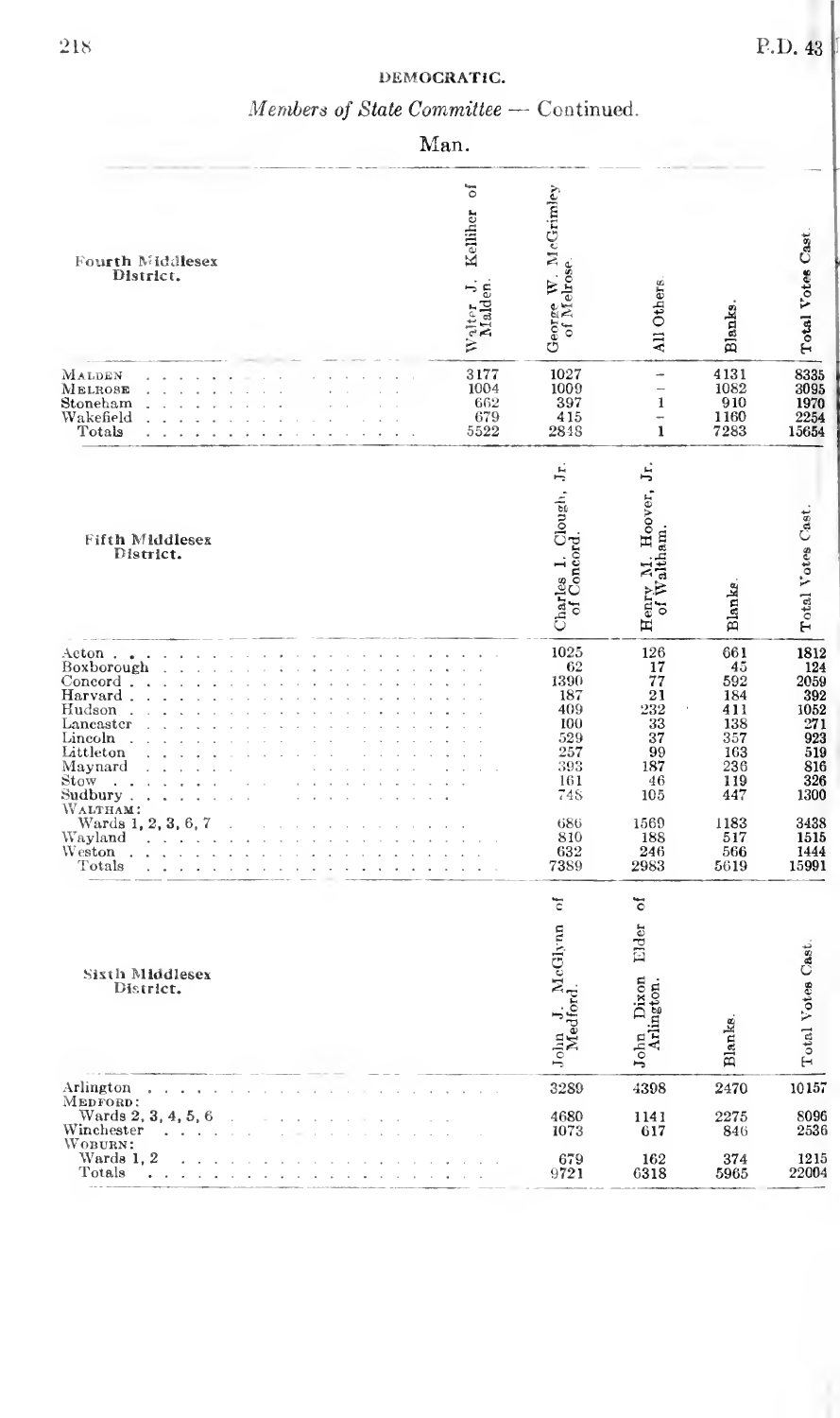|                                                                                                                                                                        | Man.                               |                                                                            |                                                                                                             |                                                                                       |                                                                                                                                                                               |
|------------------------------------------------------------------------------------------------------------------------------------------------------------------------|------------------------------------|----------------------------------------------------------------------------|-------------------------------------------------------------------------------------------------------------|---------------------------------------------------------------------------------------|-------------------------------------------------------------------------------------------------------------------------------------------------------------------------------|
| Fourth Middlesex<br>District.                                                                                                                                          | ð<br>Walter J. Kelliher<br>Malden. | George W. McGrimley<br>of Melrose.                                         | All Others                                                                                                  | Blanks.                                                                               | Total Votes Cast.                                                                                                                                                             |
| MALDEN<br>MELROSE<br>Stoneham<br>Wakefield<br>Totals                                                                                                                   | 3177<br>1004<br>662<br>679<br>5522 | 1027<br>1009<br>397<br>415<br>2848                                         | Î,<br>$\mathbf{1}$<br>$\frac{1}{1}$                                                                         | $\begin{array}{c} 4\,13\,1 \\ 1082 \end{array}$<br>910<br>1160<br>7283                | $\begin{array}{r} 8335 \\ 3095 \\ 1970 \\ 2254 \\ 15654 \end{array}$                                                                                                          |
| Fifth Middlesex<br>District.                                                                                                                                           |                                    | Charles 1. Clough, Jr.<br>of Concord                                       | Henry M. Hoover, Jr.<br>of Waltham.                                                                         | Blanke                                                                                | Total Votes Cast.                                                                                                                                                             |
| Acton<br>Boxborough<br>Concord<br>Harvard<br>Hudson<br>Lancaster<br>$\overline{a}$<br>í.<br>l,<br>Lincoln<br>í.<br>Littleton<br>Maynard<br>Stow<br>Sudbury<br>WALTHAM: |                                    | 1025<br>62<br>1390<br>187<br>409<br>100<br>529<br>257<br>393<br>161<br>748 | 126<br>$\frac{120}{77}$<br>$\frac{77}{21}$<br>$\frac{21}{232}$<br>$\frac{33}{37}$<br>99<br>187<br>46<br>105 | 661<br>$\overline{45}$<br>592<br>184<br>411<br>138<br>357<br>163<br>236<br>119<br>447 | $\begin{array}{r}\n 1812 \\  \hline\n 124 \\  \hline\n 2059\n \end{array}$<br>$\frac{392}{392}$<br>$\frac{271}{271}$<br>$\frac{923}{519}$<br>$\frac{519}{309}$<br>326<br>1300 |
| Wards 1, 2,<br>$6, \,$<br>$\mathbf 3$ ,<br>7<br>Wayland<br>$\ddot{\phantom{0}}$<br>$\ddot{\phantom{a}}$<br>Weston<br>$\ddot{\phantom{1}}$<br>Totals                    |                                    | 686<br>810<br>632<br>7389                                                  | 1569<br>188<br>246<br>2983                                                                                  | $\begin{array}{c} 1183 \\ 517 \end{array}$<br>566<br>5619                             | 3438<br>1515<br>1444<br>15991                                                                                                                                                 |
| Sixth Middlesex<br>District.                                                                                                                                           |                                    | $\vec{c}$<br>John J. McGlynn<br>Medford.                                   | ٦,<br>Elder<br>John Dixon<br>Arlington.                                                                     | Blanks.                                                                               | Total Votes Cast                                                                                                                                                              |
| Arlington<br>MEDFORD:<br>Wards 2, 3,<br>5,<br>4,<br>6<br>$\rm{Win } \rm{checker}$<br>WOBURN:<br>Wards 1,<br>2<br>Totals                                                |                                    | 3289<br>4680<br>1073<br>679<br>9721                                        | 4398<br>$\begin{array}{c} 1141 \\ 617 \end{array}$<br>162<br>6318                                           | 2470<br>2275<br>846<br>374<br>5965                                                    | 10157<br>8096<br>2536<br>1215<br>22004                                                                                                                                        |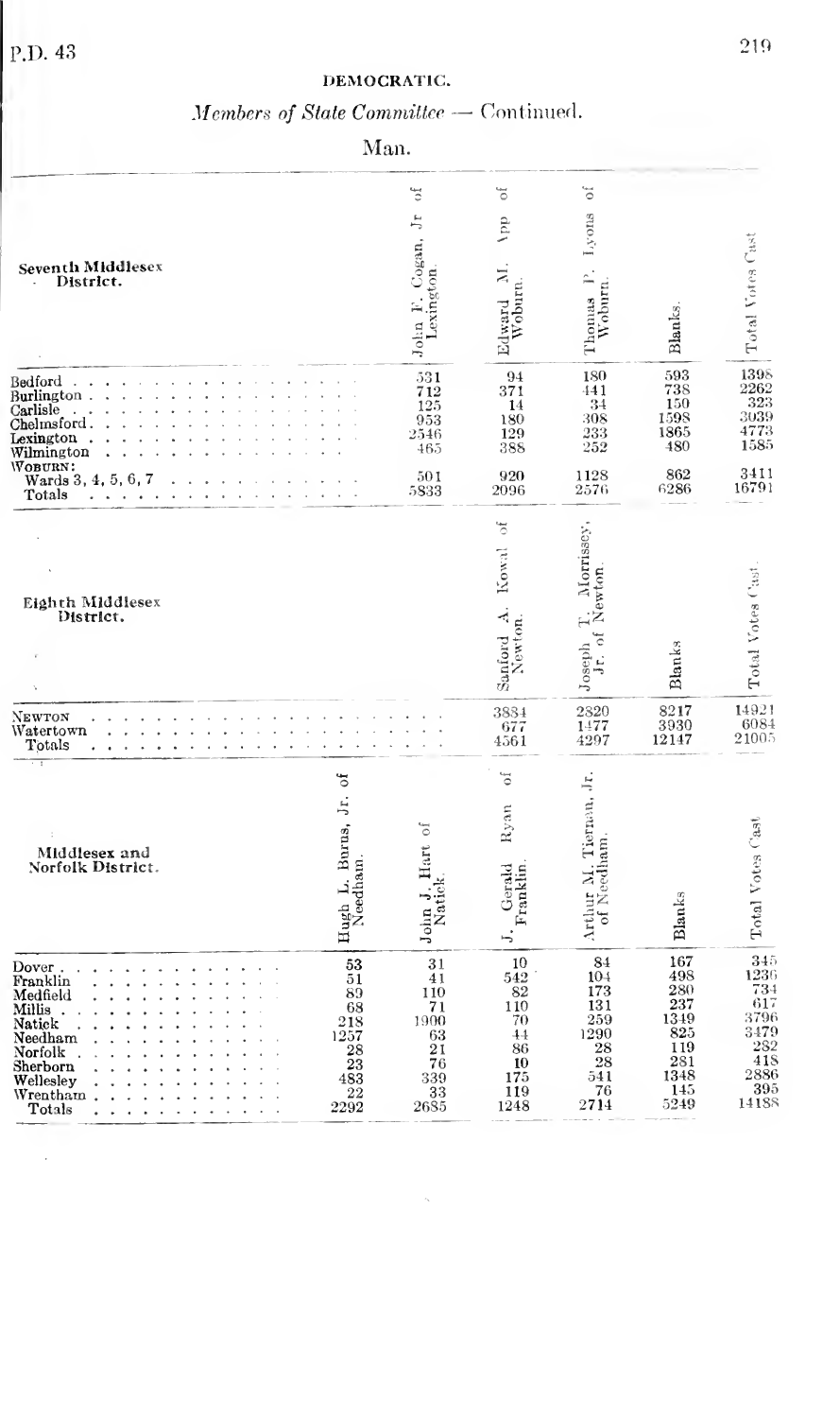| Man.                                                                                                                                                                                                                              |                                                                                                                 |                                                                                                    |                                                                                       |                                                                              |                                                                                                                                                                                                      |
|-----------------------------------------------------------------------------------------------------------------------------------------------------------------------------------------------------------------------------------|-----------------------------------------------------------------------------------------------------------------|----------------------------------------------------------------------------------------------------|---------------------------------------------------------------------------------------|------------------------------------------------------------------------------|------------------------------------------------------------------------------------------------------------------------------------------------------------------------------------------------------|
| Seventh Middlesex<br>District.                                                                                                                                                                                                    | ٦,<br>Jr<br>John F. Cogan,<br>Lexington                                                                         | ŏ<br><b>dd</b><br>$\begin{tabular}{ll} \textbf{Edward} & \text{M}.\nonumber \end{tabular}$ Woburn. | ă<br>$\mathbf{I}_{\mathcal{N}}$ ons<br>Thomas P.<br>Woburn.                           | Blanks.                                                                      | Total Votes Cast                                                                                                                                                                                     |
| Bedford<br>÷,<br>ï<br>Burlington<br>×<br>×<br>J.<br>$\ddot{\phantom{a}}$<br>Carlisle<br>Chelmsford.<br>Lexington<br>Wilmington                                                                                                    | 531<br>712<br>$\frac{125}{953}$<br>2546<br>465                                                                  | 94<br>371<br>14<br>180<br>129<br>388                                                               | 180<br>441<br>34<br>308<br>$\frac{233}{252}$                                          | $\begin{array}{c} 593 \\ 738 \end{array}$<br>150<br>1598<br>1865<br>480      | 1398<br>2262<br>$\frac{323}{3039}$<br>$\frac{4773}{1585}$                                                                                                                                            |
| WOBURN:<br>Wards 3, 4, 5, 6, 7<br>Totals<br>÷.<br>$\cdot$<br>×<br>$\ddot{\phantom{0}}$                                                                                                                                            | 501<br>5833                                                                                                     | 920<br>2096                                                                                        | $\begin{array}{c} 1128 \\ 2576 \end{array}$                                           | $\substack{862\\6286}$                                                       | 3411<br>16791                                                                                                                                                                                        |
| Eighth Middlesex<br>District.                                                                                                                                                                                                     |                                                                                                                 | ă<br>Kowal<br>Sanford A.                                                                           | Morrissey,<br>Newton<br>Jr. of<br>Joseph                                              | <b>Blanks</b>                                                                | Total Votes Cast                                                                                                                                                                                     |
| NEWTON<br>Watertown<br>Totals                                                                                                                                                                                                     |                                                                                                                 | 3884<br>677<br>4561                                                                                | $\begin{array}{c} 2820 \\ 1477 \end{array}$<br>4297                                   | $\frac{8217}{3930}$<br>12147                                                 | $\begin{array}{r} \overline{14921} \\ 6084 \\ 21005 \end{array}$                                                                                                                                     |
| ٦<br>Hugh L. Burus, Jr. of<br>Needham.<br>Middlesex and<br>Norfolk District.                                                                                                                                                      | John J. Hart of<br>Natick.                                                                                      | ă<br>Ryan<br>Gerald<br>Franklin<br>ц                                                               | Arthur M. Tiernan, Jr.<br>of Needham.                                                 | <b>Blanks</b>                                                                | Total Votes Cast                                                                                                                                                                                     |
| $\substack{53 \\ 51}$<br>Dover.<br>Franklin<br>89<br>Medfield<br>$\frac{68}{218}$<br>1257<br>Millis<br>Natick<br>Needham<br>$\frac{28}{23}$<br>Norfolk<br>Sherborn<br>483<br>Wellesley<br>$\frac{22}{2292}$<br>Wrentham<br>Totals | $\begin{array}{c} 31 \\ 41 \\ 110 \end{array}$<br>71<br>1900<br>63<br>$^{21}$<br>76<br>339<br>$\frac{33}{2685}$ | 10<br>$\frac{542}{82}$<br>110<br>70<br>$rac{1}{4}$<br>86<br>10<br>175<br>119<br>1248               | 84<br>104<br>$\frac{173}{131}$<br>259<br>1290<br>28<br>28<br>541<br>$\frac{76}{2714}$ | 167<br>498<br>280<br>237<br>1349<br>825<br>119<br>281<br>1348<br>145<br>5249 | $\begin{array}{r} \overline{\mathbf{345}} \\ \mathbf{1236} \\ \mathbf{734} \end{array}$<br>$\frac{134}{617}$<br>$\frac{3796}{282}$<br>$\frac{479}{418}$<br>$\frac{2886}{395}$<br>$\frac{395}{14188}$ |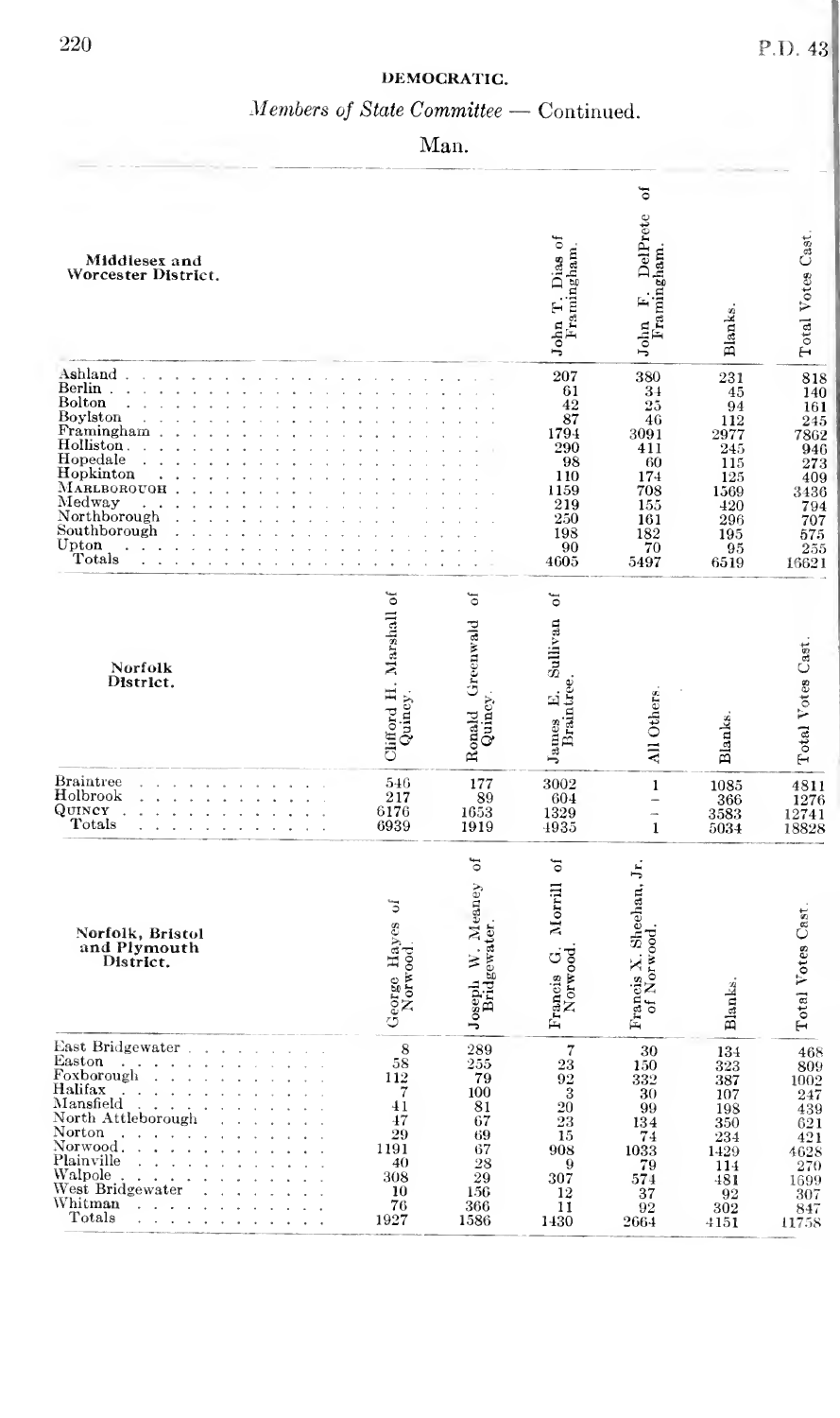#### Members of State Committee — Continued.

# Man.

| Middlesex and<br>Worcester District.                                                                                                                                                                                                          |                                                                                       |                                                                                                                                                                | John T. Dias of<br>Framingham.                                                                             | ัธ<br>DelPrete<br>John F. DelP<br>Framingham.                                               | Blanks.                                                                                        | Total Votes Cast                                                                                                                                                 |
|-----------------------------------------------------------------------------------------------------------------------------------------------------------------------------------------------------------------------------------------------|---------------------------------------------------------------------------------------|----------------------------------------------------------------------------------------------------------------------------------------------------------------|------------------------------------------------------------------------------------------------------------|---------------------------------------------------------------------------------------------|------------------------------------------------------------------------------------------------|------------------------------------------------------------------------------------------------------------------------------------------------------------------|
| Ashland<br>Berlin<br>Bolton<br>Boylston<br>Framingham<br>$_{\rm Hollston}$ .<br>Hopedale<br>Hopkinton<br>l,<br>$\ddot{\phantom{0}}$<br>MARLBOROUGH<br>Medway<br>Waliofarika<br>J<br>l<br>Northborough<br>l<br>Southborough<br>Upton<br>Totals |                                                                                       |                                                                                                                                                                | 207<br>61<br>42<br>87<br>1794<br>290<br>98<br>110<br>1159<br>219<br>$\bar{2}50$<br>198<br>90<br>4605       | 380<br>34<br>25<br>46<br>3091<br>411<br>60<br>174<br>708<br>155<br>161<br>182<br>70<br>5497 | 231<br>45<br>94<br>112<br>2977<br>245<br>115<br>125<br>1569<br>420<br>296<br>195<br>95<br>6519 | 818<br>140<br>$\begin{array}{c} 161 \\ 245 \\ 7862 \\ 946 \\ 273 \\ 409 \\ 3436 \\ 794 \\ 707 \end{array}$<br>$\begin{array}{r} 575 \\ 255 \\ 16621 \end{array}$ |
| Norfolk<br>District.                                                                                                                                                                                                                          | Clifford H. Marshall of<br>Quincy                                                     | ัธ<br>Ronald Greenwald<br>Quincy                                                                                                                               | ŏ<br>James E. Sullivan<br>Braintree.                                                                       | All Others.                                                                                 | <b>Blanks</b>                                                                                  | Total Votes Cast                                                                                                                                                 |
| <b>Braintree</b><br>$_{\rm Holbrook}$<br>QUINCY<br>Totals                                                                                                                                                                                     | $\begin{array}{c} 546 \\ 217 \end{array}$<br>6176<br>6939                             | 177<br>$\frac{89}{1653}$<br>1919                                                                                                                               | 3002<br>604<br>1329<br>4935                                                                                | $\mathbf{1}$<br>J<br>$\mathbf{1}$                                                           | 1085<br>$366$<br>$3583$<br>$5034$                                                              | $\begin{array}{c} 4811 \\ 1276 \\ 12741 \\ 18828 \end{array}$                                                                                                    |
| Norfolk, Bristol<br>and Plymouth<br>District.                                                                                                                                                                                                 | J<br>George Hayes<br>Norwood.                                                         | ัธ<br>Joseph W. Meaney<br>Bridgewater                                                                                                                          | ō<br>Francis G. Morrill<br>Norwood.                                                                        | Francis X. Sheehan, Jr.<br>of Norwood                                                       | <b>Blanks</b>                                                                                  | Total Votes Cast                                                                                                                                                 |
| East Bridgewater<br>Easton<br>Foxborough<br>Halifax<br>Mansfield<br>North Attleborough<br>Norton<br>Norwood:<br>Plainville<br>Walpole<br>West Bridgewater<br>Whitman<br>Totals<br>í,<br>l,<br>$\overline{a}$<br>ï                             | $\frac{8}{58}$<br>112<br>7<br>41<br>47<br>29<br>1191<br>40<br>308<br>10<br>76<br>1927 | $\begin{array}{c} 289 \\ 255 \\ 79 \end{array}$<br>100<br>$\frac{81}{67}$<br>69<br>67<br>$\begin{array}{c}\n 28 \\  29 \\  156 \\  \end{array}$<br>366<br>1586 | 7<br>$\begin{array}{l} 23 \\ 92 \\ 3 \\ 20 \\ 23 \\ 15 \end{array}$<br>908<br>9<br>307<br>12<br>11<br>1430 | 30<br>150<br>332<br>30<br>99<br>134<br>74<br>1033<br>$\frac{79}{574}$<br>37<br>92<br>2664   | 134<br>323<br>387<br>107<br>198<br>350<br>234<br>1429<br>114<br>481<br>92<br>302<br>4151       | 468<br>809<br>$\frac{1002}{247}$<br>439<br>621<br>421<br>$4628$<br>$270$<br>$1699$<br>307<br>847<br>11758                                                        |